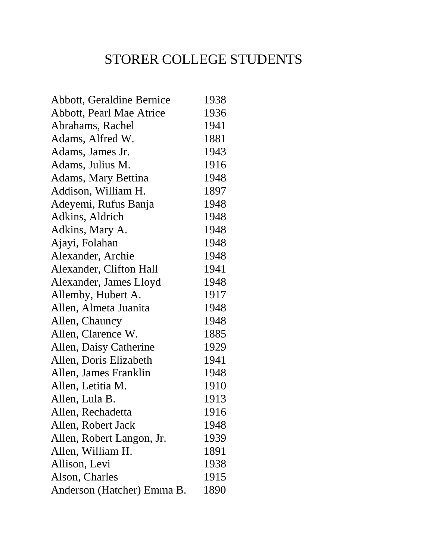## STORER COLLEGE STUDENTS

| Abbott, Geraldine Bernice       | 1938 |
|---------------------------------|------|
| <b>Abbott, Pearl Mae Atrice</b> | 1936 |
| Abrahams, Rachel                | 1941 |
| Adams, Alfred W.                | 1881 |
| Adams, James Jr.                | 1943 |
| Adams, Julius M.                | 1916 |
| Adams, Mary Bettina             | 1948 |
| Addison, William H.             | 1897 |
| Adeyemi, Rufus Banja            | 1948 |
| Adkins, Aldrich                 | 1948 |
| Adkins, Mary A.                 | 1948 |
| Ajayi, Folahan                  | 1948 |
| Alexander, Archie               | 1948 |
| Alexander, Clifton Hall         | 1941 |
| Alexander, James Lloyd          | 1948 |
| Allemby, Hubert A.              | 1917 |
| Allen, Almeta Juanita           | 1948 |
| Allen, Chauncy                  | 1948 |
| Allen, Clarence W.              | 1885 |
| Allen, Daisy Catherine          | 1929 |
| Allen, Doris Elizabeth          | 1941 |
| Allen, James Franklin           | 1948 |
| Allen, Letitia M.               | 1910 |
| Allen, Lula B.                  | 1913 |
| Allen, Rechadetta               | 1916 |
| Allen, Robert Jack              | 1948 |
| Allen, Robert Langon, Jr.       | 1939 |
| Allen, William H.               | 1891 |
| Allison, Levi                   | 1938 |
| Alson, Charles                  | 1915 |
| Anderson (Hatcher) Emma B.      | 1890 |
|                                 |      |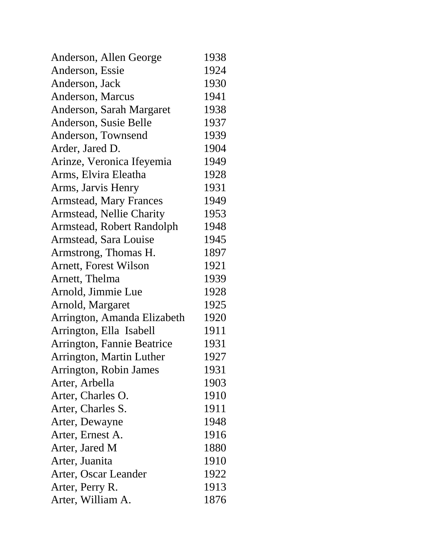| Anderson, Allen George          | 1938 |
|---------------------------------|------|
| Anderson, Essie                 | 1924 |
| Anderson, Jack                  | 1930 |
| Anderson, Marcus                | 1941 |
| Anderson, Sarah Margaret        | 1938 |
| Anderson, Susie Belle           | 1937 |
| Anderson, Townsend              | 1939 |
| Arder, Jared D.                 | 1904 |
| Arinze, Veronica Ifeyemia       | 1949 |
| Arms, Elvira Eleatha            | 1928 |
| Arms, Jarvis Henry              | 1931 |
| <b>Armstead, Mary Frances</b>   | 1949 |
| <b>Armstead, Nellie Charity</b> | 1953 |
| Armstead, Robert Randolph       | 1948 |
| Armstead, Sara Louise           | 1945 |
| Armstrong, Thomas H.            | 1897 |
| Arnett, Forest Wilson           | 1921 |
| Arnett, Thelma                  | 1939 |
| Arnold, Jimmie Lue              | 1928 |
| Arnold, Margaret                | 1925 |
| Arrington, Amanda Elizabeth     | 1920 |
| Arrington, Ella Isabell         | 1911 |
| Arrington, Fannie Beatrice      | 1931 |
| Arrington, Martin Luther        | 1927 |
| Arrington, Robin James          | 1931 |
| Arter, Arbella                  | 1903 |
| Arter, Charles O.               | 1910 |
| Arter, Charles S.               | 1911 |
| Arter, Dewayne                  | 1948 |
| Arter, Ernest A.                | 1916 |
| Arter, Jared M                  | 1880 |
| Arter, Juanita                  | 1910 |
| Arter, Oscar Leander            | 1922 |
| Arter, Perry R.                 | 1913 |
| Arter, William A.               | 1876 |
|                                 |      |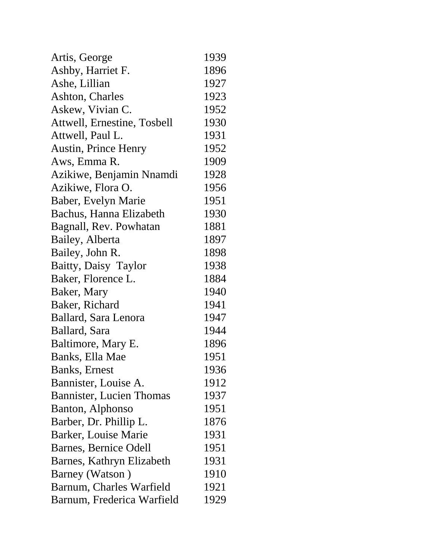| Artis, George                   | 1939 |
|---------------------------------|------|
| Ashby, Harriet F.               | 1896 |
| Ashe, Lillian                   | 1927 |
| Ashton, Charles                 | 1923 |
| Askew, Vivian C.                | 1952 |
| Attwell, Ernestine, Tosbell     | 1930 |
| Attwell, Paul L.                | 1931 |
| <b>Austin, Prince Henry</b>     | 1952 |
| Aws, Emma R.                    | 1909 |
| Azikiwe, Benjamin Nnamdi        | 1928 |
| Azikiwe, Flora O.               | 1956 |
| Baber, Evelyn Marie             | 1951 |
| Bachus, Hanna Elizabeth         | 1930 |
| Bagnall, Rev. Powhatan          | 1881 |
| Bailey, Alberta                 | 1897 |
| Bailey, John R.                 | 1898 |
| Baitty, Daisy Taylor            | 1938 |
| Baker, Florence L.              | 1884 |
| Baker, Mary                     | 1940 |
| Baker, Richard                  | 1941 |
| Ballard, Sara Lenora            | 1947 |
| Ballard, Sara                   | 1944 |
| Baltimore, Mary E.              | 1896 |
| Banks, Ella Mae                 | 1951 |
| <b>Banks</b> , Ernest           | 1936 |
| Bannister, Louise A.            | 1912 |
| <b>Bannister, Lucien Thomas</b> | 1937 |
| Banton, Alphonso                | 1951 |
| Barber, Dr. Phillip L.          | 1876 |
| Barker, Louise Marie            | 1931 |
| Barnes, Bernice Odell           | 1951 |
| Barnes, Kathryn Elizabeth       | 1931 |
| Barney (Watson)                 | 1910 |
| Barnum, Charles Warfield        | 1921 |
| Barnum, Frederica Warfield      | 1929 |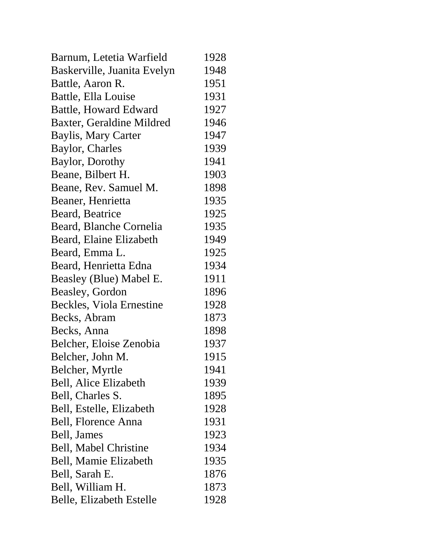| Barnum, Letetia Warfield    | 1928 |
|-----------------------------|------|
| Baskerville, Juanita Evelyn | 1948 |
| Battle, Aaron R.            | 1951 |
| Battle, Ella Louise         | 1931 |
| Battle, Howard Edward       | 1927 |
| Baxter, Geraldine Mildred   | 1946 |
| <b>Baylis, Mary Carter</b>  | 1947 |
| Baylor, Charles             | 1939 |
| Baylor, Dorothy             | 1941 |
| Beane, Bilbert H.           | 1903 |
| Beane, Rev. Samuel M.       | 1898 |
| Beaner, Henrietta           | 1935 |
| Beard, Beatrice             | 1925 |
| Beard, Blanche Cornelia     | 1935 |
| Beard, Elaine Elizabeth     | 1949 |
| Beard, Emma L.              | 1925 |
| Beard, Henrietta Edna       | 1934 |
| Beasley (Blue) Mabel E.     | 1911 |
| Beasley, Gordon             | 1896 |
| Beckles, Viola Ernestine    | 1928 |
| Becks, Abram                | 1873 |
| Becks, Anna                 | 1898 |
| Belcher, Eloise Zenobia     | 1937 |
| Belcher, John M.            | 1915 |
| Belcher, Myrtle             | 1941 |
| Bell, Alice Elizabeth       | 1939 |
| Bell, Charles S.            | 1895 |
| Bell, Estelle, Elizabeth    | 1928 |
| Bell, Florence Anna         | 1931 |
| Bell, James                 | 1923 |
| Bell, Mabel Christine       | 1934 |
| Bell, Mamie Elizabeth       | 1935 |
| Bell, Sarah E.              | 1876 |
| Bell, William H.            | 1873 |
| Belle, Elizabeth Estelle    | 1928 |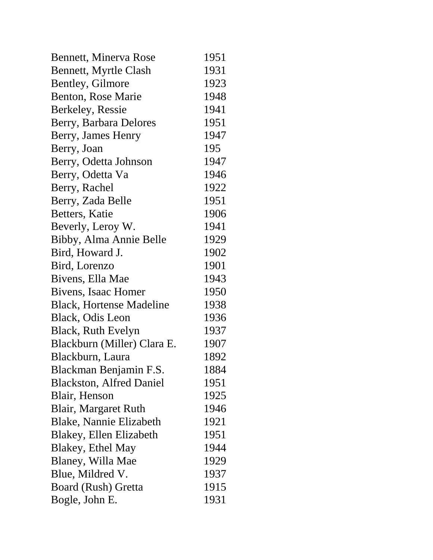| Bennett, Minerva Rose           | 1951 |
|---------------------------------|------|
| Bennett, Myrtle Clash           | 1931 |
| Bentley, Gilmore                | 1923 |
| Benton, Rose Marie              | 1948 |
| Berkeley, Ressie                | 1941 |
| Berry, Barbara Delores          | 1951 |
| Berry, James Henry              | 1947 |
| Berry, Joan                     | 195  |
| Berry, Odetta Johnson           | 1947 |
| Berry, Odetta Va                | 1946 |
| Berry, Rachel                   | 1922 |
| Berry, Zada Belle               | 1951 |
| Betters, Katie                  | 1906 |
| Beverly, Leroy W.               | 1941 |
| Bibby, Alma Annie Belle         | 1929 |
| Bird, Howard J.                 | 1902 |
| Bird, Lorenzo                   | 1901 |
| Bivens, Ella Mae                | 1943 |
| Bivens, Isaac Homer             | 1950 |
| <b>Black, Hortense Madeline</b> | 1938 |
| Black, Odis Leon                | 1936 |
| Black, Ruth Evelyn              | 1937 |
| Blackburn (Miller) Clara E.     | 1907 |
| Blackburn, Laura                | 1892 |
| Blackman Benjamin F.S.          | 1884 |
| <b>Blackston, Alfred Daniel</b> | 1951 |
| Blair, Henson                   | 1925 |
| Blair, Margaret Ruth            | 1946 |
| Blake, Nannie Elizabeth         | 1921 |
| Blakey, Ellen Elizabeth         | 1951 |
| Blakey, Ethel May               | 1944 |
| Blaney, Willa Mae               | 1929 |
| Blue, Mildred V.                | 1937 |
| Board (Rush) Gretta             | 1915 |
| Bogle, John E.                  | 1931 |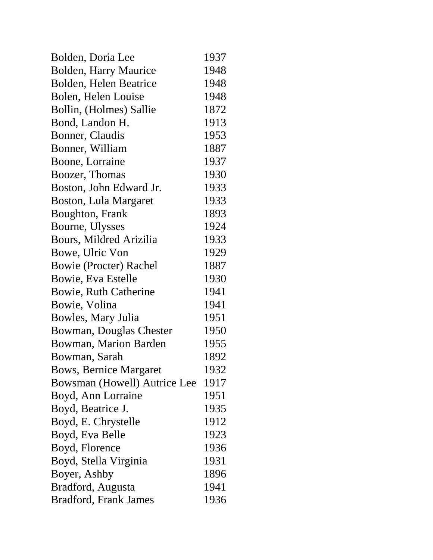| Bolden, Doria Lee             | 1937 |
|-------------------------------|------|
| <b>Bolden, Harry Maurice</b>  | 1948 |
| Bolden, Helen Beatrice        | 1948 |
| Bolen, Helen Louise           | 1948 |
| Bollin, (Holmes) Sallie       | 1872 |
| Bond, Landon H.               | 1913 |
| Bonner, Claudis               | 1953 |
| Bonner, William               | 1887 |
| Boone, Lorraine               | 1937 |
| Boozer, Thomas                | 1930 |
| Boston, John Edward Jr.       | 1933 |
| Boston, Lula Margaret         | 1933 |
| Boughton, Frank               | 1893 |
| Bourne, Ulysses               | 1924 |
| Bours, Mildred Arizilia       | 1933 |
| Bowe, Ulric Von               | 1929 |
| Bowie (Procter) Rachel        | 1887 |
| Bowie, Eva Estelle            | 1930 |
| Bowie, Ruth Catherine         | 1941 |
| Bowie, Volina                 | 1941 |
| Bowles, Mary Julia            | 1951 |
| Bowman, Douglas Chester       | 1950 |
| Bowman, Marion Barden         | 1955 |
| Bowman, Sarah                 | 1892 |
| <b>Bows, Bernice Margaret</b> | 1932 |
| Bowsman (Howell) Autrice Lee  | 1917 |
| Boyd, Ann Lorraine            | 1951 |
| Boyd, Beatrice J.             | 1935 |
| Boyd, E. Chrystelle           | 1912 |
| Boyd, Eva Belle               | 1923 |
| Boyd, Florence                | 1936 |
| Boyd, Stella Virginia         | 1931 |
| Boyer, Ashby                  | 1896 |
| Bradford, Augusta             | 1941 |
| <b>Bradford, Frank James</b>  | 1936 |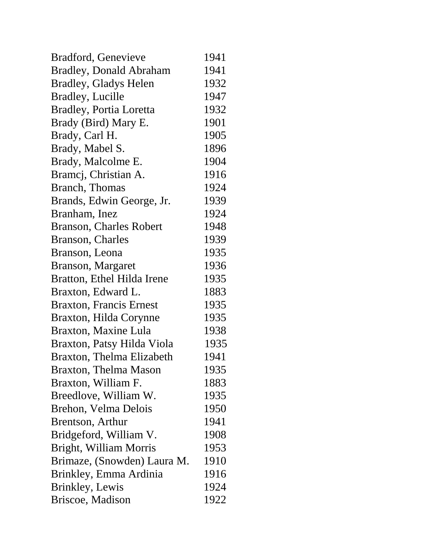| Bradford, Genevieve            | 1941 |
|--------------------------------|------|
| <b>Bradley, Donald Abraham</b> | 1941 |
| <b>Bradley, Gladys Helen</b>   | 1932 |
| <b>Bradley, Lucille</b>        | 1947 |
| <b>Bradley, Portia Loretta</b> | 1932 |
| Brady (Bird) Mary E.           | 1901 |
| Brady, Carl H.                 | 1905 |
| Brady, Mabel S.                | 1896 |
| Brady, Malcolme E.             | 1904 |
| Bramcj, Christian A.           | 1916 |
| Branch, Thomas                 | 1924 |
| Brands, Edwin George, Jr.      | 1939 |
| Branham, Inez                  | 1924 |
| <b>Branson, Charles Robert</b> | 1948 |
| Branson, Charles               | 1939 |
| Branson, Leona                 | 1935 |
| Branson, Margaret              | 1936 |
| Bratton, Ethel Hilda Irene     | 1935 |
| Braxton, Edward L.             | 1883 |
| <b>Braxton, Francis Ernest</b> | 1935 |
| Braxton, Hilda Corynne         | 1935 |
| Braxton, Maxine Lula           | 1938 |
| Braxton, Patsy Hilda Viola     | 1935 |
| Braxton, Thelma Elizabeth      | 1941 |
| Braxton, Thelma Mason          | 1935 |
| Braxton, William F.            | 1883 |
| Breedlove, William W.          | 1935 |
| Brehon, Velma Delois           | 1950 |
| Brentson, Arthur               | 1941 |
| Bridgeford, William V.         | 1908 |
| Bright, William Morris         | 1953 |
| Brimaze, (Snowden) Laura M.    | 1910 |
| Brinkley, Emma Ardinia         | 1916 |
| Brinkley, Lewis                | 1924 |
| Briscoe, Madison               | 1922 |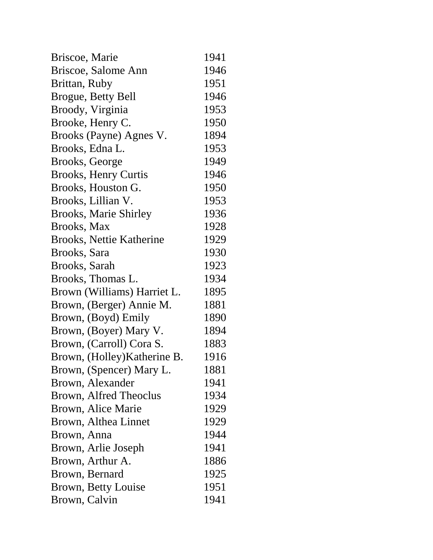| Briscoe, Marie               | 1941 |
|------------------------------|------|
| Briscoe, Salome Ann          | 1946 |
| Brittan, Ruby                | 1951 |
| Brogue, Betty Bell           | 1946 |
| Broody, Virginia             | 1953 |
| Brooke, Henry C.             | 1950 |
| Brooks (Payne) Agnes V.      | 1894 |
| Brooks, Edna L.              | 1953 |
| Brooks, George               | 1949 |
| <b>Brooks, Henry Curtis</b>  | 1946 |
| Brooks, Houston G.           | 1950 |
| Brooks, Lillian V.           | 1953 |
| <b>Brooks, Marie Shirley</b> | 1936 |
| Brooks, Max                  | 1928 |
| Brooks, Nettie Katherine     | 1929 |
| Brooks, Sara                 | 1930 |
| Brooks, Sarah                | 1923 |
| Brooks, Thomas L.            | 1934 |
| Brown (Williams) Harriet L.  | 1895 |
| Brown, (Berger) Annie M.     | 1881 |
| Brown, (Boyd) Emily          | 1890 |
| Brown, (Boyer) Mary V.       | 1894 |
| Brown, (Carroll) Cora S.     | 1883 |
| Brown, (Holley) Katherine B. | 1916 |
| Brown, (Spencer) Mary L.     | 1881 |
| Brown, Alexander             | 1941 |
| Brown, Alfred Theoclus       | 1934 |
| Brown, Alice Marie           | 1929 |
| Brown, Althea Linnet         | 1929 |
| Brown, Anna                  | 1944 |
| Brown, Arlie Joseph          | 1941 |
| Brown, Arthur A.             | 1886 |
| Brown, Bernard               | 1925 |
| Brown, Betty Louise          | 1951 |
| Brown, Calvin                | 1941 |
|                              |      |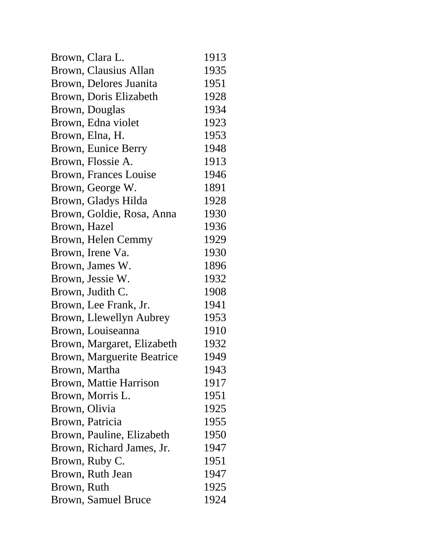| Brown, Clara L.            | 1913 |
|----------------------------|------|
| Brown, Clausius Allan      | 1935 |
| Brown, Delores Juanita     | 1951 |
| Brown, Doris Elizabeth     | 1928 |
| Brown, Douglas             | 1934 |
| Brown, Edna violet         | 1923 |
| Brown, Elna, H.            | 1953 |
| Brown, Eunice Berry        | 1948 |
| Brown, Flossie A.          | 1913 |
| Brown, Frances Louise      | 1946 |
| Brown, George W.           | 1891 |
| Brown, Gladys Hilda        | 1928 |
| Brown, Goldie, Rosa, Anna  | 1930 |
| Brown, Hazel               | 1936 |
| Brown, Helen Cemmy         | 1929 |
| Brown, Irene Va.           | 1930 |
| Brown, James W.            | 1896 |
| Brown, Jessie W.           | 1932 |
| Brown, Judith C.           | 1908 |
| Brown, Lee Frank, Jr.      | 1941 |
| Brown, Llewellyn Aubrey    | 1953 |
| Brown, Louiseanna          | 1910 |
| Brown, Margaret, Elizabeth | 1932 |
| Brown, Marguerite Beatrice | 1949 |
| Brown, Martha              | 1943 |
| Brown, Mattie Harrison     | 1917 |
| Brown, Morris L.           | 1951 |
| Brown, Olivia              | 1925 |
| Brown, Patricia            | 1955 |
| Brown, Pauline, Elizabeth  | 1950 |
| Brown, Richard James, Jr.  | 1947 |
| Brown, Ruby C.             | 1951 |
| Brown, Ruth Jean           | 1947 |
| Brown, Ruth                | 1925 |
| <b>Brown, Samuel Bruce</b> | 1924 |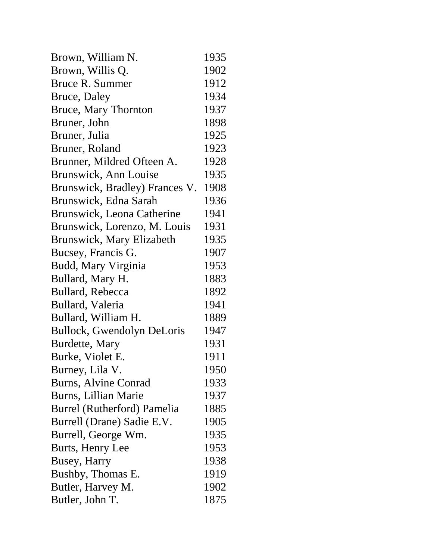| Brown, William N.                | 1935 |
|----------------------------------|------|
| Brown, Willis Q.                 | 1902 |
| Bruce R. Summer                  | 1912 |
| Bruce, Daley                     | 1934 |
| Bruce, Mary Thornton             | 1937 |
| Bruner, John                     | 1898 |
| Bruner, Julia                    | 1925 |
| Bruner, Roland                   | 1923 |
| Brunner, Mildred Ofteen A.       | 1928 |
| Brunswick, Ann Louise            | 1935 |
| Brunswick, Bradley) Frances V.   | 1908 |
| Brunswick, Edna Sarah            | 1936 |
| Brunswick, Leona Catherine       | 1941 |
| Brunswick, Lorenzo, M. Louis     | 1931 |
| <b>Brunswick, Mary Elizabeth</b> | 1935 |
| Bucsey, Francis G.               | 1907 |
| Budd, Mary Virginia              | 1953 |
| Bullard, Mary H.                 | 1883 |
| Bullard, Rebecca                 | 1892 |
| Bullard, Valeria                 | 1941 |
| Bullard, William H.              | 1889 |
| Bullock, Gwendolyn DeLoris       | 1947 |
| Burdette, Mary                   | 1931 |
| Burke, Violet E.                 | 1911 |
| Burney, Lila V.                  | 1950 |
| Burns, Alvine Conrad             | 1933 |
| Burns, Lillian Marie             | 1937 |
| Burrel (Rutherford) Pamelia      | 1885 |
| Burrell (Drane) Sadie E.V.       | 1905 |
| Burrell, George Wm.              | 1935 |
| Burts, Henry Lee                 | 1953 |
| Busey, Harry                     | 1938 |
| Bushby, Thomas E.                | 1919 |
| Butler, Harvey M.                | 1902 |
| Butler, John T.                  | 1875 |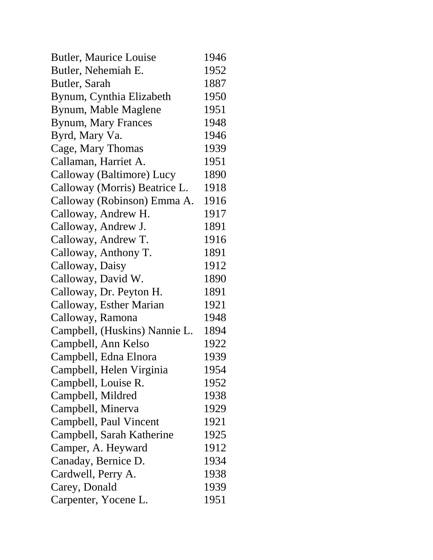| <b>Butler, Maurice Louise</b> | 1946 |
|-------------------------------|------|
| Butler, Nehemiah E.           | 1952 |
| Butler, Sarah                 | 1887 |
| Bynum, Cynthia Elizabeth      | 1950 |
| Bynum, Mable Maglene          | 1951 |
| <b>Bynum, Mary Frances</b>    | 1948 |
| Byrd, Mary Va.                | 1946 |
| Cage, Mary Thomas             | 1939 |
| Callaman, Harriet A.          | 1951 |
| Calloway (Baltimore) Lucy     | 1890 |
| Calloway (Morris) Beatrice L. | 1918 |
| Calloway (Robinson) Emma A.   | 1916 |
| Calloway, Andrew H.           | 1917 |
| Calloway, Andrew J.           | 1891 |
| Calloway, Andrew T.           | 1916 |
| Calloway, Anthony T.          | 1891 |
| Calloway, Daisy               | 1912 |
| Calloway, David W.            | 1890 |
| Calloway, Dr. Peyton H.       | 1891 |
| Calloway, Esther Marian       | 1921 |
| Calloway, Ramona              | 1948 |
| Campbell, (Huskins) Nannie L. | 1894 |
| Campbell, Ann Kelso           | 1922 |
| Campbell, Edna Elnora         | 1939 |
| Campbell, Helen Virginia      | 1954 |
| Campbell, Louise R.           | 1952 |
| Campbell, Mildred             | 1938 |
| Campbell, Minerva             | 1929 |
| Campbell, Paul Vincent        | 1921 |
| Campbell, Sarah Katherine     | 1925 |
| Camper, A. Heyward            | 1912 |
| Canaday, Bernice D.           | 1934 |
| Cardwell, Perry A.            | 1938 |
| Carey, Donald                 | 1939 |
| Carpenter, Yocene L.          | 1951 |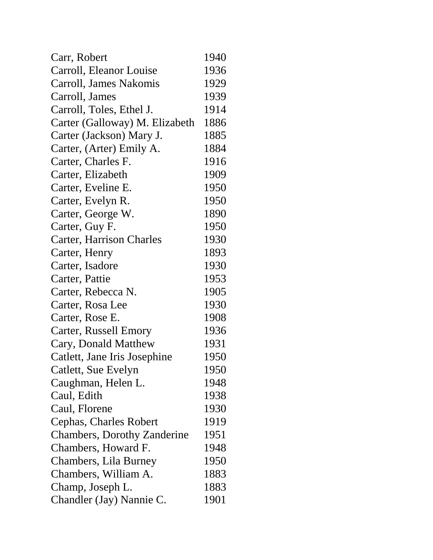| Carr, Robert                       | 1940 |
|------------------------------------|------|
| Carroll, Eleanor Louise            | 1936 |
| Carroll, James Nakomis             | 1929 |
| Carroll, James                     | 1939 |
| Carroll, Toles, Ethel J.           | 1914 |
| Carter (Galloway) M. Elizabeth     | 1886 |
| Carter (Jackson) Mary J.           | 1885 |
| Carter, (Arter) Emily A.           | 1884 |
| Carter, Charles F.                 | 1916 |
| Carter, Elizabeth                  | 1909 |
| Carter, Eveline E.                 | 1950 |
| Carter, Evelyn R.                  | 1950 |
| Carter, George W.                  | 1890 |
| Carter, Guy F.                     | 1950 |
| <b>Carter, Harrison Charles</b>    | 1930 |
| Carter, Henry                      | 1893 |
| Carter, Isadore                    | 1930 |
| Carter, Pattie                     | 1953 |
| Carter, Rebecca N.                 | 1905 |
| Carter, Rosa Lee                   | 1930 |
| Carter, Rose E.                    | 1908 |
| Carter, Russell Emory              | 1936 |
| Cary, Donald Matthew               | 1931 |
| Catlett, Jane Iris Josephine       | 1950 |
| Catlett, Sue Evelyn                | 1950 |
| Caughman, Helen L.                 | 1948 |
| Caul, Edith                        | 1938 |
| Caul, Florene                      | 1930 |
| Cephas, Charles Robert             | 1919 |
| <b>Chambers, Dorothy Zanderine</b> | 1951 |
| Chambers, Howard F.                | 1948 |
| Chambers, Lila Burney              | 1950 |
| Chambers, William A.               | 1883 |
| Champ, Joseph L.                   | 1883 |
| Chandler (Jay) Nannie C.           | 1901 |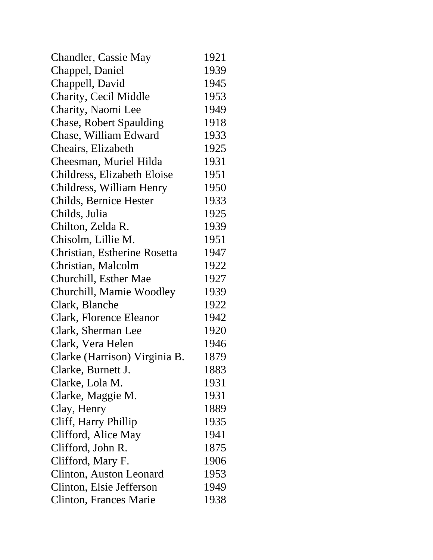| <b>Chandler, Cassie May</b>    | 1921 |
|--------------------------------|------|
| Chappel, Daniel                | 1939 |
| Chappell, David                | 1945 |
| Charity, Cecil Middle          | 1953 |
| Charity, Naomi Lee             | 1949 |
| <b>Chase, Robert Spaulding</b> | 1918 |
| Chase, William Edward          | 1933 |
| Cheairs, Elizabeth             | 1925 |
| Cheesman, Muriel Hilda         | 1931 |
| Childress, Elizabeth Eloise    | 1951 |
| Childress, William Henry       | 1950 |
| Childs, Bernice Hester         | 1933 |
| Childs, Julia                  | 1925 |
| Chilton, Zelda R.              | 1939 |
| Chisolm, Lillie M.             | 1951 |
| Christian, Estherine Rosetta   | 1947 |
| Christian, Malcolm             | 1922 |
| Churchill, Esther Mae          | 1927 |
| Churchill, Mamie Woodley       | 1939 |
| Clark, Blanche                 | 1922 |
| Clark, Florence Eleanor        | 1942 |
| Clark, Sherman Lee             | 1920 |
| Clark, Vera Helen              | 1946 |
| Clarke (Harrison) Virginia B.  | 1879 |
| Clarke, Burnett J.             | 1883 |
| Clarke, Lola M.                | 1931 |
| Clarke, Maggie M.              | 1931 |
| Clay, Henry                    | 1889 |
| Cliff, Harry Phillip           | 1935 |
| Clifford, Alice May            | 1941 |
| Clifford, John R.              | 1875 |
| Clifford, Mary F.              | 1906 |
| Clinton, Auston Leonard        | 1953 |
| Clinton, Elsie Jefferson       | 1949 |
| Clinton, Frances Marie         | 1938 |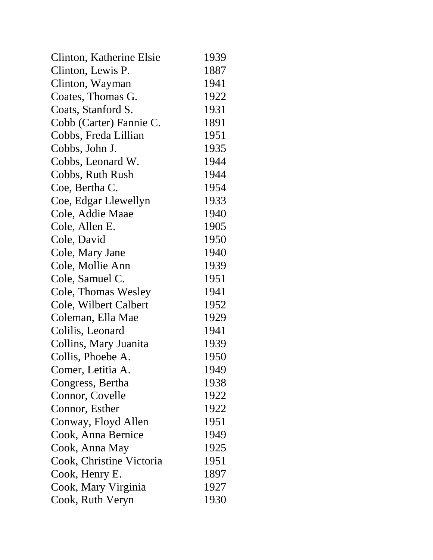| Clinton, Katherine Elsie | 1939 |
|--------------------------|------|
| Clinton, Lewis P.        | 1887 |
| Clinton, Wayman          | 1941 |
| Coates, Thomas G.        | 1922 |
| Coats, Stanford S.       | 1931 |
| Cobb (Carter) Fannie C.  | 1891 |
| Cobbs, Freda Lillian     | 1951 |
| Cobbs, John J.           | 1935 |
| Cobbs, Leonard W.        | 1944 |
| Cobbs, Ruth Rush         | 1944 |
| Coe, Bertha C.           | 1954 |
| Coe, Edgar Llewellyn     | 1933 |
| Cole, Addie Maae         | 1940 |
| Cole, Allen E.           | 1905 |
| Cole, David              | 1950 |
| Cole, Mary Jane          | 1940 |
| Cole, Mollie Ann         | 1939 |
| Cole, Samuel C.          | 1951 |
| Cole, Thomas Wesley      | 1941 |
| Cole, Wilbert Calbert    | 1952 |
| Coleman, Ella Mae        | 1929 |
| Colilis, Leonard         | 1941 |
| Collins, Mary Juanita    | 1939 |
| Collis, Phoebe A.        | 1950 |
| Comer, Letitia A.        | 1949 |
| Congress, Bertha         | 1938 |
| Connor, Covelle          | 1922 |
| Connor, Esther           | 1922 |
| Conway, Floyd Allen      | 1951 |
| Cook, Anna Bernice       | 1949 |
| Cook, Anna May           | 1925 |
| Cook, Christine Victoria | 1951 |
| Cook, Henry E.           | 1897 |
| Cook, Mary Virginia      | 1927 |
| Cook, Ruth Veryn         | 1930 |
|                          |      |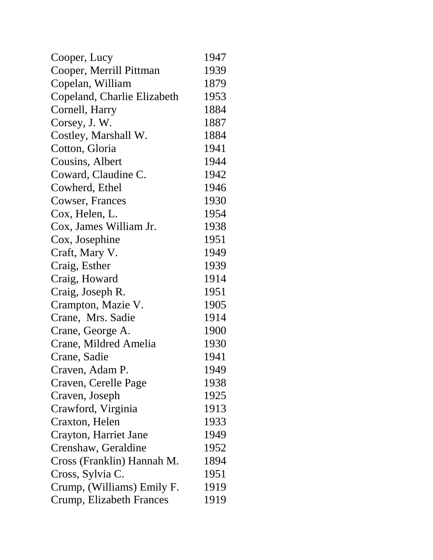| Cooper, Lucy                | 1947 |
|-----------------------------|------|
| Cooper, Merrill Pittman     | 1939 |
| Copelan, William            | 1879 |
| Copeland, Charlie Elizabeth | 1953 |
| Cornell, Harry              | 1884 |
| Corsey, J. W.               | 1887 |
| Costley, Marshall W.        | 1884 |
| Cotton, Gloria              | 1941 |
| Cousins, Albert             | 1944 |
| Coward, Claudine C.         | 1942 |
| Cowherd, Ethel              | 1946 |
| Cowser, Frances             | 1930 |
| Cox, Helen, L.              | 1954 |
| Cox, James William Jr.      | 1938 |
| Cox, Josephine              | 1951 |
| Craft, Mary V.              | 1949 |
| Craig, Esther               | 1939 |
| Craig, Howard               | 1914 |
| Craig, Joseph R.            | 1951 |
| Crampton, Mazie V.          | 1905 |
| Crane, Mrs. Sadie           | 1914 |
| Crane, George A.            | 1900 |
| Crane, Mildred Amelia       | 1930 |
| Crane, Sadie                | 1941 |
| Craven, Adam P.             | 1949 |
| Craven, Cerelle Page        | 1938 |
| Craven, Joseph              | 1925 |
| Crawford, Virginia          | 1913 |
| Craxton, Helen              | 1933 |
| Crayton, Harriet Jane       | 1949 |
| Crenshaw, Geraldine         | 1952 |
| Cross (Franklin) Hannah M.  | 1894 |
| Cross, Sylvia C.            | 1951 |
| Crump, (Williams) Emily F.  | 1919 |
| Crump, Elizabeth Frances    | 1919 |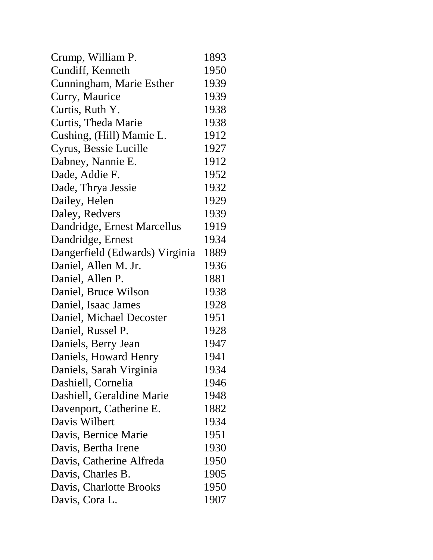| Crump, William P.              | 1893 |
|--------------------------------|------|
| Cundiff, Kenneth               | 1950 |
| Cunningham, Marie Esther       | 1939 |
| Curry, Maurice                 | 1939 |
| Curtis, Ruth Y.                | 1938 |
| Curtis, Theda Marie            | 1938 |
| Cushing, (Hill) Mamie L.       | 1912 |
| Cyrus, Bessie Lucille          | 1927 |
| Dabney, Nannie E.              | 1912 |
| Dade, Addie F.                 | 1952 |
| Dade, Thrya Jessie             | 1932 |
| Dailey, Helen                  | 1929 |
| Daley, Redvers                 | 1939 |
| Dandridge, Ernest Marcellus    | 1919 |
| Dandridge, Ernest              | 1934 |
| Dangerfield (Edwards) Virginia | 1889 |
| Daniel, Allen M. Jr.           | 1936 |
| Daniel, Allen P.               | 1881 |
| Daniel, Bruce Wilson           | 1938 |
| Daniel, Isaac James            | 1928 |
| Daniel, Michael Decoster       | 1951 |
| Daniel, Russel P.              | 1928 |
| Daniels, Berry Jean            | 1947 |
| Daniels, Howard Henry          | 1941 |
| Daniels, Sarah Virginia        | 1934 |
| Dashiell, Cornelia             | 1946 |
| Dashiell, Geraldine Marie      | 1948 |
| Davenport, Catherine E.        | 1882 |
| Davis Wilbert                  | 1934 |
| Davis, Bernice Marie           | 1951 |
| Davis, Bertha Irene            | 1930 |
| Davis, Catherine Alfreda       | 1950 |
| Davis, Charles B.              | 1905 |
| Davis, Charlotte Brooks        | 1950 |
| Davis, Cora L.                 | 1907 |
|                                |      |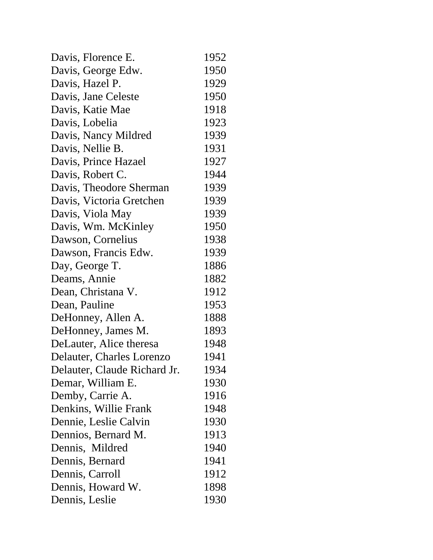| Davis, Florence E.           | 1952 |
|------------------------------|------|
| Davis, George Edw.           | 1950 |
| Davis, Hazel P.              | 1929 |
| Davis, Jane Celeste          | 1950 |
| Davis, Katie Mae             | 1918 |
| Davis, Lobelia               | 1923 |
| Davis, Nancy Mildred         | 1939 |
| Davis, Nellie B.             | 1931 |
| Davis, Prince Hazael         | 1927 |
| Davis, Robert C.             | 1944 |
| Davis, Theodore Sherman      | 1939 |
| Davis, Victoria Gretchen     | 1939 |
| Davis, Viola May             | 1939 |
| Davis, Wm. McKinley          | 1950 |
| Dawson, Cornelius            | 1938 |
| Dawson, Francis Edw.         | 1939 |
| Day, George T.               | 1886 |
| Deams, Annie                 | 1882 |
| Dean, Christana V.           | 1912 |
| Dean, Pauline                | 1953 |
| DeHonney, Allen A.           | 1888 |
| DeHonney, James M.           | 1893 |
| DeLauter, Alice theresa      | 1948 |
| Delauter, Charles Lorenzo    | 1941 |
| Delauter, Claude Richard Jr. | 1934 |
| Demar, William E.            | 1930 |
| Demby, Carrie A.             | 1916 |
| Denkins, Willie Frank        | 1948 |
| Dennie, Leslie Calvin        | 1930 |
| Dennios, Bernard M.          | 1913 |
| Dennis, Mildred              | 1940 |
| Dennis, Bernard              | 1941 |
| Dennis, Carroll              | 1912 |
| Dennis, Howard W.            | 1898 |
| Dennis, Leslie               | 1930 |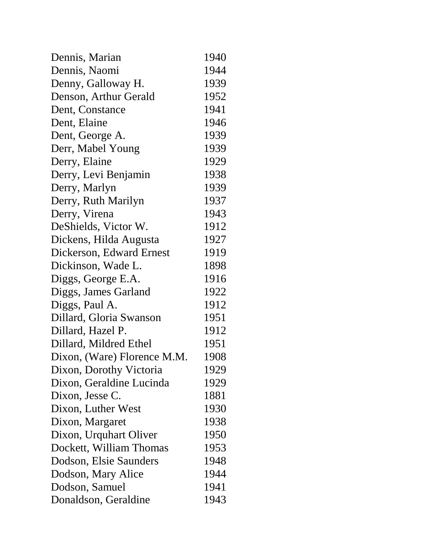| Dennis, Marian              | 1940 |
|-----------------------------|------|
| Dennis, Naomi               | 1944 |
| Denny, Galloway H.          | 1939 |
| Denson, Arthur Gerald       | 1952 |
| Dent, Constance             | 1941 |
| Dent, Elaine                | 1946 |
| Dent, George A.             | 1939 |
| Derr, Mabel Young           | 1939 |
| Derry, Elaine               | 1929 |
| Derry, Levi Benjamin        | 1938 |
| Derry, Marlyn               | 1939 |
| Derry, Ruth Marilyn         | 1937 |
| Derry, Virena               | 1943 |
| DeShields, Victor W.        | 1912 |
| Dickens, Hilda Augusta      | 1927 |
| Dickerson, Edward Ernest    | 1919 |
| Dickinson, Wade L.          | 1898 |
| Diggs, George E.A.          | 1916 |
| Diggs, James Garland        | 1922 |
| Diggs, Paul A.              | 1912 |
| Dillard, Gloria Swanson     | 1951 |
| Dillard, Hazel P.           | 1912 |
| Dillard, Mildred Ethel      | 1951 |
| Dixon, (Ware) Florence M.M. | 1908 |
| Dixon, Dorothy Victoria     | 1929 |
| Dixon, Geraldine Lucinda    | 1929 |
| Dixon, Jesse C.             | 1881 |
| Dixon, Luther West          | 1930 |
| Dixon, Margaret             | 1938 |
| Dixon, Urquhart Oliver      | 1950 |
| Dockett, William Thomas     | 1953 |
| Dodson, Elsie Saunders      | 1948 |
| Dodson, Mary Alice          | 1944 |
| Dodson, Samuel              | 1941 |
| Donaldson, Geraldine        | 1943 |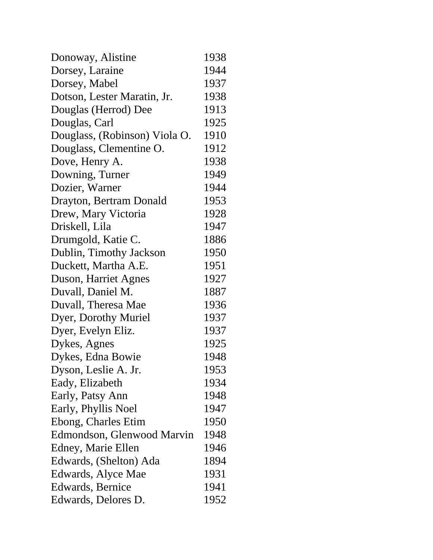| Donoway, Alistine             | 1938 |
|-------------------------------|------|
| Dorsey, Laraine               | 1944 |
| Dorsey, Mabel                 | 1937 |
| Dotson, Lester Maratin, Jr.   | 1938 |
| Douglas (Herrod) Dee          | 1913 |
| Douglas, Carl                 | 1925 |
| Douglass, (Robinson) Viola O. | 1910 |
| Douglass, Clementine O.       | 1912 |
| Dove, Henry A.                | 1938 |
| Downing, Turner               | 1949 |
| Dozier, Warner                | 1944 |
| Drayton, Bertram Donald       | 1953 |
| Drew, Mary Victoria           | 1928 |
| Driskell, Lila                | 1947 |
| Drumgold, Katie C.            | 1886 |
| Dublin, Timothy Jackson       | 1950 |
| Duckett, Martha A.E.          | 1951 |
| Duson, Harriet Agnes          | 1927 |
| Duvall, Daniel M.             | 1887 |
| Duvall, Theresa Mae           | 1936 |
| Dyer, Dorothy Muriel          | 1937 |
| Dyer, Evelyn Eliz.            | 1937 |
| Dykes, Agnes                  | 1925 |
| Dykes, Edna Bowie             | 1948 |
| Dyson, Leslie A. Jr.          | 1953 |
| Eady, Elizabeth               | 1934 |
| Early, Patsy Ann              | 1948 |
| Early, Phyllis Noel           | 1947 |
| Ebong, Charles Etim           | 1950 |
| Edmondson, Glenwood Marvin    | 1948 |
| Edney, Marie Ellen            | 1946 |
| Edwards, (Shelton) Ada        | 1894 |
| Edwards, Alyce Mae            | 1931 |
| Edwards, Bernice              | 1941 |
| Edwards, Delores D.           | 1952 |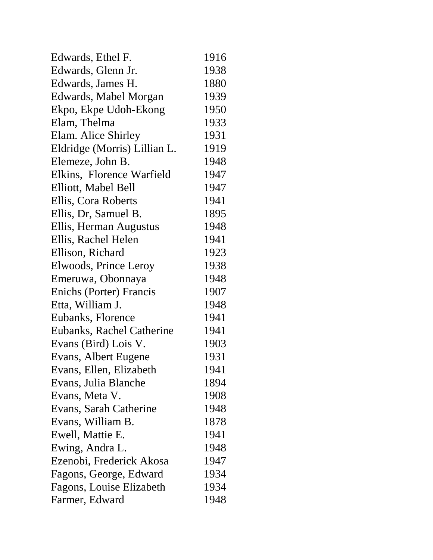| Edwards, Ethel F.            | 1916 |
|------------------------------|------|
| Edwards, Glenn Jr.           | 1938 |
| Edwards, James H.            | 1880 |
| Edwards, Mabel Morgan        | 1939 |
| Ekpo, Ekpe Udoh-Ekong        | 1950 |
| Elam, Thelma                 | 1933 |
| Elam. Alice Shirley          | 1931 |
| Eldridge (Morris) Lillian L. | 1919 |
| Elemeze, John B.             | 1948 |
| Elkins, Florence Warfield    | 1947 |
| Elliott, Mabel Bell          | 1947 |
| Ellis, Cora Roberts          | 1941 |
| Ellis, Dr, Samuel B.         | 1895 |
| Ellis, Herman Augustus       | 1948 |
| Ellis, Rachel Helen          | 1941 |
| Ellison, Richard             | 1923 |
| Elwoods, Prince Leroy        | 1938 |
| Emeruwa, Obonnaya            | 1948 |
| Enichs (Porter) Francis      | 1907 |
| Etta, William J.             | 1948 |
| Eubanks, Florence            | 1941 |
| Eubanks, Rachel Catherine    | 1941 |
| Evans (Bird) Lois V.         | 1903 |
| Evans, Albert Eugene         | 1931 |
| Evans, Ellen, Elizabeth      | 1941 |
| Evans, Julia Blanche         | 1894 |
| Evans, Meta V.               | 1908 |
| Evans, Sarah Catherine       | 1948 |
| Evans, William B.            | 1878 |
| Ewell, Mattie E.             | 1941 |
| Ewing, Andra L.              | 1948 |
| Ezenobi, Frederick Akosa     | 1947 |
| Fagons, George, Edward       | 1934 |
| Fagons, Louise Elizabeth     | 1934 |
| Farmer, Edward               | 1948 |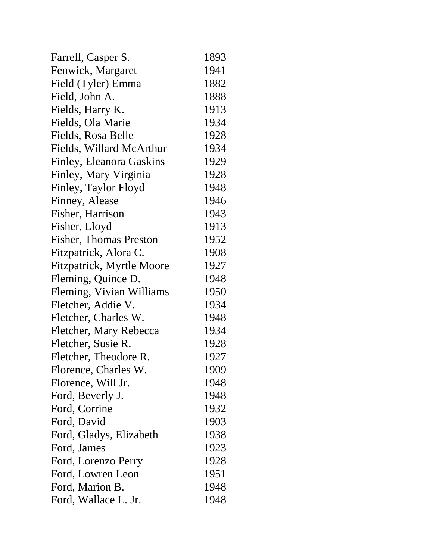| Farrell, Casper S.            | 1893 |
|-------------------------------|------|
| Fenwick, Margaret             | 1941 |
| Field (Tyler) Emma            | 1882 |
| Field, John A.                | 1888 |
| Fields, Harry K.              | 1913 |
| Fields, Ola Marie             | 1934 |
| Fields, Rosa Belle            | 1928 |
| Fields, Willard McArthur      | 1934 |
| Finley, Eleanora Gaskins      | 1929 |
| Finley, Mary Virginia         | 1928 |
| Finley, Taylor Floyd          | 1948 |
| Finney, Alease                | 1946 |
| Fisher, Harrison              | 1943 |
| Fisher, Lloyd                 | 1913 |
| <b>Fisher, Thomas Preston</b> | 1952 |
| Fitzpatrick, Alora C.         | 1908 |
| Fitzpatrick, Myrtle Moore     | 1927 |
| Fleming, Quince D.            | 1948 |
| Fleming, Vivian Williams      | 1950 |
| Fletcher, Addie V.            | 1934 |
| Fletcher, Charles W.          | 1948 |
| Fletcher, Mary Rebecca        | 1934 |
| Fletcher, Susie R.            | 1928 |
| Fletcher, Theodore R.         | 1927 |
| Florence, Charles W.          | 1909 |
| Florence, Will Jr.            | 1948 |
| Ford, Beverly J.              | 1948 |
| Ford, Corrine                 | 1932 |
| Ford, David                   | 1903 |
| Ford, Gladys, Elizabeth       | 1938 |
| Ford, James                   | 1923 |
| Ford, Lorenzo Perry           | 1928 |
| Ford, Lowren Leon             | 1951 |
| Ford, Marion B.               | 1948 |
| Ford, Wallace L. Jr.          | 1948 |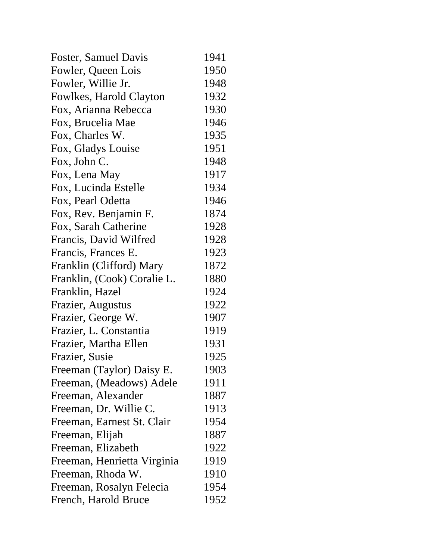| Foster, Samuel Davis        | 1941 |
|-----------------------------|------|
| Fowler, Queen Lois          | 1950 |
| Fowler, Willie Jr.          | 1948 |
| Fowlkes, Harold Clayton     | 1932 |
| Fox, Arianna Rebecca        | 1930 |
| Fox, Brucelia Mae           | 1946 |
| Fox, Charles W.             | 1935 |
| Fox, Gladys Louise          | 1951 |
| Fox, John C.                | 1948 |
| Fox, Lena May               | 1917 |
| Fox, Lucinda Estelle        | 1934 |
| Fox, Pearl Odetta           | 1946 |
| Fox, Rev. Benjamin F.       | 1874 |
| Fox, Sarah Catherine        | 1928 |
| Francis, David Wilfred      | 1928 |
| Francis, Frances E.         | 1923 |
| Franklin (Clifford) Mary    | 1872 |
| Franklin, (Cook) Coralie L. | 1880 |
| Franklin, Hazel             | 1924 |
| Frazier, Augustus           | 1922 |
| Frazier, George W.          | 1907 |
| Frazier, L. Constantia      | 1919 |
| Frazier, Martha Ellen       | 1931 |
| Frazier, Susie              | 1925 |
| Freeman (Taylor) Daisy E.   | 1903 |
| Freeman, (Meadows) Adele    | 1911 |
| Freeman, Alexander          | 1887 |
| Freeman, Dr. Willie C.      | 1913 |
| Freeman, Earnest St. Clair  | 1954 |
| Freeman, Elijah             | 1887 |
| Freeman, Elizabeth          | 1922 |
| Freeman, Henrietta Virginia | 1919 |
| Freeman, Rhoda W.           | 1910 |
| Freeman, Rosalyn Felecia    | 1954 |
| French, Harold Bruce        | 1952 |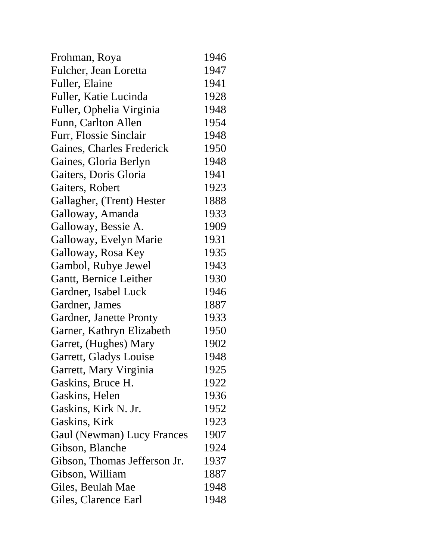| Frohman, Roya                     | 1946 |
|-----------------------------------|------|
| Fulcher, Jean Loretta             | 1947 |
| Fuller, Elaine                    | 1941 |
| Fuller, Katie Lucinda             | 1928 |
| Fuller, Ophelia Virginia          | 1948 |
| Funn, Carlton Allen               | 1954 |
| Furr, Flossie Sinclair            | 1948 |
| Gaines, Charles Frederick         | 1950 |
| Gaines, Gloria Berlyn             | 1948 |
| Gaiters, Doris Gloria             | 1941 |
| Gaiters, Robert                   | 1923 |
| Gallagher, (Trent) Hester         | 1888 |
| Galloway, Amanda                  | 1933 |
| Galloway, Bessie A.               | 1909 |
| Galloway, Evelyn Marie            | 1931 |
| Galloway, Rosa Key                | 1935 |
| Gambol, Rubye Jewel               | 1943 |
| Gantt, Bernice Leither            | 1930 |
| Gardner, Isabel Luck              | 1946 |
| Gardner, James                    | 1887 |
| Gardner, Janette Pronty           | 1933 |
| Garner, Kathryn Elizabeth         | 1950 |
| Garret, (Hughes) Mary             | 1902 |
| Garrett, Gladys Louise            | 1948 |
| Garrett, Mary Virginia            | 1925 |
| Gaskins, Bruce H.                 | 1922 |
| Gaskins, Helen                    | 1936 |
| Gaskins, Kirk N. Jr.              | 1952 |
| Gaskins, Kirk                     | 1923 |
| <b>Gaul (Newman) Lucy Frances</b> | 1907 |
| Gibson, Blanche                   | 1924 |
| Gibson, Thomas Jefferson Jr.      | 1937 |
| Gibson, William                   | 1887 |
| Giles, Beulah Mae                 | 1948 |
| Giles, Clarence Earl              | 1948 |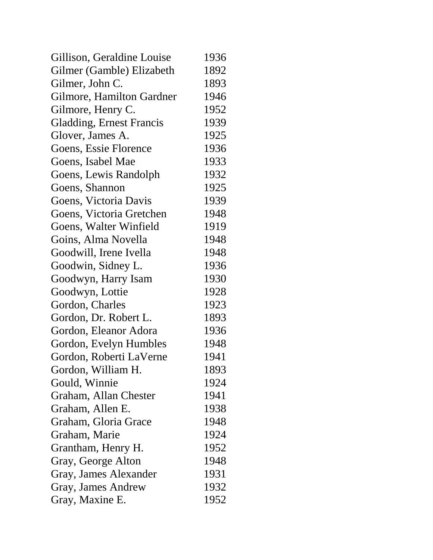| Gillison, Geraldine Louise      | 1936 |
|---------------------------------|------|
| Gilmer (Gamble) Elizabeth       | 1892 |
| Gilmer, John C.                 | 1893 |
| Gilmore, Hamilton Gardner       | 1946 |
| Gilmore, Henry C.               | 1952 |
| <b>Gladding, Ernest Francis</b> | 1939 |
| Glover, James A.                | 1925 |
| Goens, Essie Florence           | 1936 |
| Goens, Isabel Mae               | 1933 |
| Goens, Lewis Randolph           | 1932 |
| Goens, Shannon                  | 1925 |
| Goens, Victoria Davis           | 1939 |
| Goens, Victoria Gretchen        | 1948 |
| Goens, Walter Winfield          | 1919 |
| Goins, Alma Novella             | 1948 |
| Goodwill, Irene Ivella          | 1948 |
| Goodwin, Sidney L.              | 1936 |
| Goodwyn, Harry Isam             | 1930 |
| Goodwyn, Lottie                 | 1928 |
| Gordon, Charles                 | 1923 |
| Gordon, Dr. Robert L.           | 1893 |
| Gordon, Eleanor Adora           | 1936 |
| Gordon, Evelyn Humbles          | 1948 |
| Gordon, Roberti LaVerne         | 1941 |
| Gordon, William H.              | 1893 |
| Gould, Winnie                   | 1924 |
| Graham, Allan Chester           | 1941 |
| Graham, Allen E.                | 1938 |
| Graham, Gloria Grace            | 1948 |
| Graham, Marie                   | 1924 |
| Grantham, Henry H.              | 1952 |
| Gray, George Alton              | 1948 |
| Gray, James Alexander           | 1931 |
| Gray, James Andrew              | 1932 |
| Gray, Maxine E.                 | 1952 |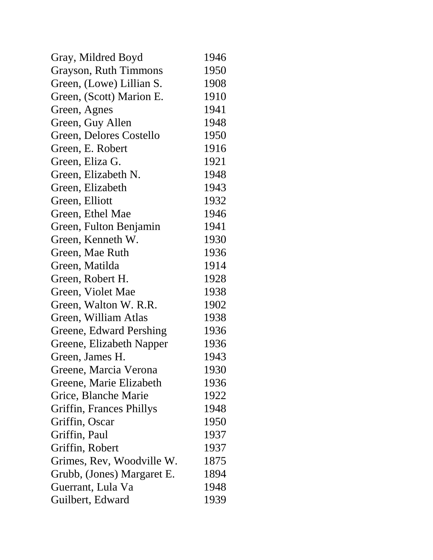| Gray, Mildred Boyd         | 1946 |
|----------------------------|------|
| Grayson, Ruth Timmons      | 1950 |
| Green, (Lowe) Lillian S.   | 1908 |
| Green, (Scott) Marion E.   | 1910 |
| Green, Agnes               | 1941 |
| Green, Guy Allen           | 1948 |
| Green, Delores Costello    | 1950 |
| Green, E. Robert           | 1916 |
| Green, Eliza G.            | 1921 |
| Green, Elizabeth N.        | 1948 |
| Green, Elizabeth           | 1943 |
| Green, Elliott             | 1932 |
| Green, Ethel Mae           | 1946 |
| Green, Fulton Benjamin     | 1941 |
| Green, Kenneth W.          | 1930 |
| Green, Mae Ruth            | 1936 |
| Green, Matilda             | 1914 |
| Green, Robert H.           | 1928 |
| Green, Violet Mae          | 1938 |
| Green, Walton W. R.R.      | 1902 |
| Green, William Atlas       | 1938 |
| Greene, Edward Pershing    | 1936 |
| Greene, Elizabeth Napper   | 1936 |
| Green, James H.            | 1943 |
| Greene, Marcia Verona      | 1930 |
| Greene, Marie Elizabeth    | 1936 |
| Grice, Blanche Marie       | 1922 |
| Griffin, Frances Phillys   | 1948 |
| Griffin, Oscar             | 1950 |
| Griffin, Paul              | 1937 |
| Griffin, Robert            | 1937 |
| Grimes, Rev, Woodville W.  | 1875 |
| Grubb, (Jones) Margaret E. | 1894 |
| Guerrant, Lula Va          | 1948 |
| Guilbert, Edward           | 1939 |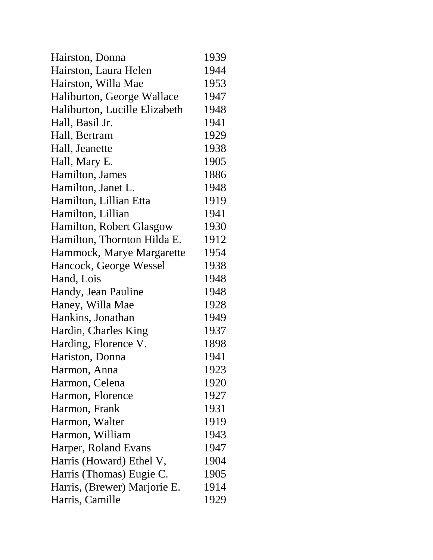| Hairston, Donna               | 1939 |
|-------------------------------|------|
| Hairston, Laura Helen         | 1944 |
| Hairston, Willa Mae           | 1953 |
| Haliburton, George Wallace    | 1947 |
| Haliburton, Lucille Elizabeth | 1948 |
| Hall, Basil Jr.               | 1941 |
| Hall, Bertram                 | 1929 |
| Hall, Jeanette                | 1938 |
| Hall, Mary E.                 | 1905 |
| Hamilton, James               | 1886 |
| Hamilton, Janet L.            | 1948 |
| Hamilton, Lillian Etta        | 1919 |
| Hamilton, Lillian             | 1941 |
| Hamilton, Robert Glasgow      | 1930 |
| Hamilton, Thornton Hilda E.   | 1912 |
| Hammock, Marye Margarette     | 1954 |
| Hancock, George Wessel        | 1938 |
| Hand, Lois                    | 1948 |
| Handy, Jean Pauline           | 1948 |
| Haney, Willa Mae              | 1928 |
| Hankins, Jonathan             | 1949 |
| Hardin, Charles King          | 1937 |
| Harding, Florence V.          | 1898 |
| Hariston, Donna               | 1941 |
| Harmon, Anna                  | 1923 |
| Harmon, Celena                | 1920 |
| Harmon, Florence              | 1927 |
| Harmon, Frank                 | 1931 |
| Harmon, Walter                | 1919 |
| Harmon, William               | 1943 |
| Harper, Roland Evans          | 1947 |
| Harris (Howard) Ethel V,      | 1904 |
| Harris (Thomas) Eugie C.      | 1905 |
| Harris, (Brewer) Marjorie E.  | 1914 |
| Harris, Camille               | 1929 |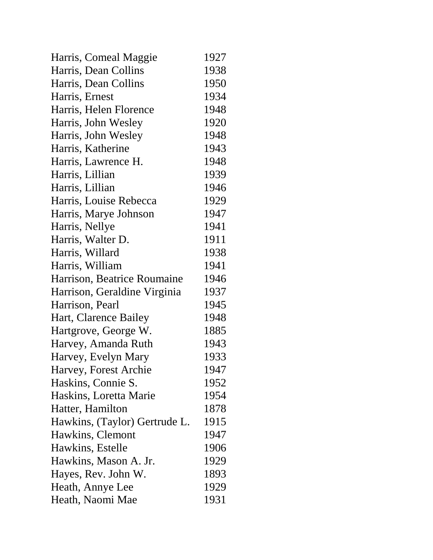| Harris, Comeal Maggie         | 1927 |
|-------------------------------|------|
| Harris, Dean Collins          | 1938 |
| Harris, Dean Collins          | 1950 |
| Harris, Ernest                | 1934 |
| Harris, Helen Florence        | 1948 |
| Harris, John Wesley           | 1920 |
| Harris, John Wesley           | 1948 |
| Harris, Katherine             | 1943 |
| Harris, Lawrence H.           | 1948 |
| Harris, Lillian               | 1939 |
| Harris, Lillian               | 1946 |
| Harris, Louise Rebecca        | 1929 |
| Harris, Marye Johnson         | 1947 |
| Harris, Nellye                | 1941 |
| Harris, Walter D.             | 1911 |
| Harris, Willard               | 1938 |
| Harris, William               | 1941 |
| Harrison, Beatrice Roumaine   | 1946 |
| Harrison, Geraldine Virginia  | 1937 |
| Harrison, Pearl               | 1945 |
| Hart, Clarence Bailey         | 1948 |
| Hartgrove, George W.          | 1885 |
| Harvey, Amanda Ruth           | 1943 |
| Harvey, Evelyn Mary           | 1933 |
| Harvey, Forest Archie         | 1947 |
| Haskins, Connie S.            | 1952 |
| Haskins, Loretta Marie        | 1954 |
| Hatter, Hamilton              | 1878 |
| Hawkins, (Taylor) Gertrude L. | 1915 |
| Hawkins, Clemont              | 1947 |
| Hawkins, Estelle              | 1906 |
| Hawkins, Mason A. Jr.         | 1929 |
| Hayes, Rev. John W.           | 1893 |
| Heath, Annye Lee              | 1929 |
| Heath, Naomi Mae              | 1931 |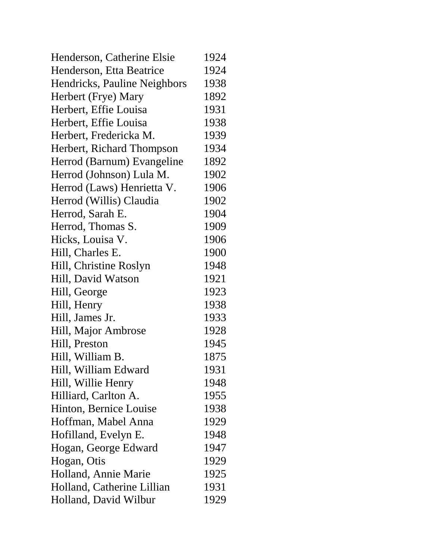| Henderson, Catherine Elsie   | 1924 |
|------------------------------|------|
| Henderson, Etta Beatrice     | 1924 |
| Hendricks, Pauline Neighbors | 1938 |
| Herbert (Frye) Mary          | 1892 |
| Herbert, Effie Louisa        | 1931 |
| Herbert, Effie Louisa        | 1938 |
| Herbert, Fredericka M.       | 1939 |
| Herbert, Richard Thompson    | 1934 |
| Herrod (Barnum) Evangeline   | 1892 |
| Herrod (Johnson) Lula M.     | 1902 |
| Herrod (Laws) Henrietta V.   | 1906 |
| Herrod (Willis) Claudia      | 1902 |
| Herrod, Sarah E.             | 1904 |
| Herrod, Thomas S.            | 1909 |
| Hicks, Louisa V.             | 1906 |
| Hill, Charles E.             | 1900 |
| Hill, Christine Roslyn       | 1948 |
| Hill, David Watson           | 1921 |
| Hill, George                 | 1923 |
| Hill, Henry                  | 1938 |
| Hill, James Jr.              | 1933 |
| Hill, Major Ambrose          | 1928 |
| Hill, Preston                | 1945 |
| Hill, William B.             | 1875 |
| Hill, William Edward         | 1931 |
| Hill, Willie Henry           | 1948 |
| Hilliard, Carlton A.         | 1955 |
| Hinton, Bernice Louise       | 1938 |
| Hoffman, Mabel Anna          | 1929 |
| Hofilland, Evelyn E.         | 1948 |
| Hogan, George Edward         | 1947 |
| Hogan, Otis                  | 1929 |
| Holland, Annie Marie         | 1925 |
| Holland, Catherine Lillian   | 1931 |
| Holland, David Wilbur        | 1929 |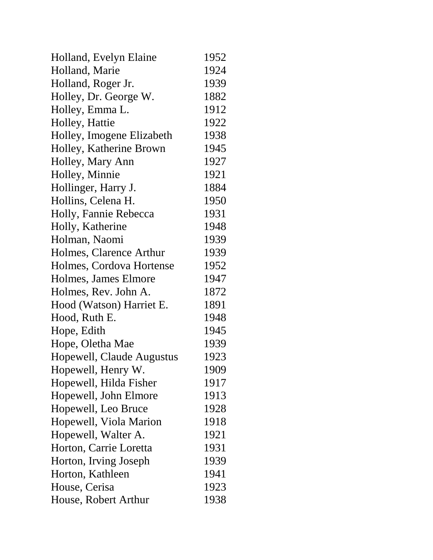| Holland, Evelyn Elaine    | 1952 |
|---------------------------|------|
| Holland, Marie            | 1924 |
| Holland, Roger Jr.        | 1939 |
| Holley, Dr. George W.     | 1882 |
| Holley, Emma L.           | 1912 |
| Holley, Hattie            | 1922 |
| Holley, Imogene Elizabeth | 1938 |
| Holley, Katherine Brown   | 1945 |
| Holley, Mary Ann          | 1927 |
| Holley, Minnie            | 1921 |
| Hollinger, Harry J.       | 1884 |
| Hollins, Celena H.        | 1950 |
| Holly, Fannie Rebecca     | 1931 |
| Holly, Katherine          | 1948 |
| Holman, Naomi             | 1939 |
| Holmes, Clarence Arthur   | 1939 |
| Holmes, Cordova Hortense  | 1952 |
| Holmes, James Elmore      | 1947 |
| Holmes, Rev. John A.      | 1872 |
| Hood (Watson) Harriet E.  | 1891 |
| Hood, Ruth E.             | 1948 |
| Hope, Edith               | 1945 |
| Hope, Oletha Mae          | 1939 |
| Hopewell, Claude Augustus | 1923 |
| Hopewell, Henry W.        | 1909 |
| Hopewell, Hilda Fisher    | 1917 |
| Hopewell, John Elmore     | 1913 |
| Hopewell, Leo Bruce       | 1928 |
| Hopewell, Viola Marion    | 1918 |
| Hopewell, Walter A.       | 1921 |
| Horton, Carrie Loretta    | 1931 |
| Horton, Irving Joseph     | 1939 |
| Horton, Kathleen          | 1941 |
| House, Cerisa             | 1923 |
| House, Robert Arthur      | 1938 |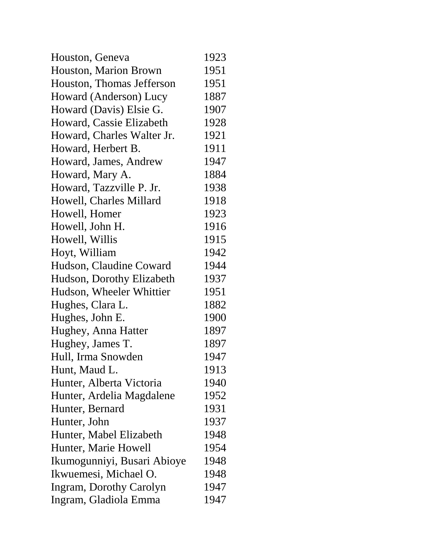| Houston, Geneva             | 1923 |
|-----------------------------|------|
| Houston, Marion Brown       | 1951 |
| Houston, Thomas Jefferson   | 1951 |
| Howard (Anderson) Lucy      | 1887 |
| Howard (Davis) Elsie G.     | 1907 |
| Howard, Cassie Elizabeth    | 1928 |
| Howard, Charles Walter Jr.  | 1921 |
| Howard, Herbert B.          | 1911 |
| Howard, James, Andrew       | 1947 |
| Howard, Mary A.             | 1884 |
| Howard, Tazzville P. Jr.    | 1938 |
| Howell, Charles Millard     | 1918 |
| Howell, Homer               | 1923 |
| Howell, John H.             | 1916 |
| Howell, Willis              | 1915 |
| Hoyt, William               | 1942 |
| Hudson, Claudine Coward     | 1944 |
| Hudson, Dorothy Elizabeth   | 1937 |
| Hudson, Wheeler Whittier    | 1951 |
| Hughes, Clara L.            | 1882 |
| Hughes, John E.             | 1900 |
| Hughey, Anna Hatter         | 1897 |
| Hughey, James T.            | 1897 |
| Hull, Irma Snowden          | 1947 |
| Hunt, Maud L.               | 1913 |
| Hunter, Alberta Victoria    | 1940 |
| Hunter, Ardelia Magdalene   | 1952 |
| Hunter, Bernard             | 1931 |
| Hunter, John                | 1937 |
| Hunter, Mabel Elizabeth     | 1948 |
| Hunter, Marie Howell        | 1954 |
| Ikumogunniyi, Busari Abioye | 1948 |
| Ikwuemesi, Michael O.       | 1948 |
| Ingram, Dorothy Carolyn     | 1947 |
| Ingram, Gladiola Emma       | 1947 |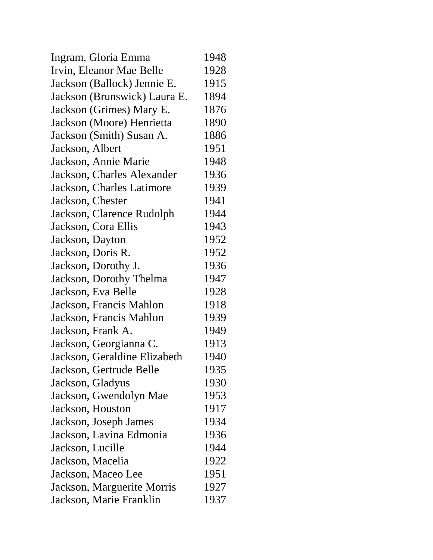| Ingram, Gloria Emma          | 1948 |
|------------------------------|------|
| Irvin, Eleanor Mae Belle     | 1928 |
| Jackson (Ballock) Jennie E.  | 1915 |
| Jackson (Brunswick) Laura E. | 1894 |
| Jackson (Grimes) Mary E.     | 1876 |
| Jackson (Moore) Henrietta    | 1890 |
| Jackson (Smith) Susan A.     | 1886 |
| Jackson, Albert              | 1951 |
| Jackson, Annie Marie         | 1948 |
| Jackson, Charles Alexander   | 1936 |
| Jackson, Charles Latimore    | 1939 |
| Jackson, Chester             | 1941 |
| Jackson, Clarence Rudolph    | 1944 |
| Jackson, Cora Ellis          | 1943 |
| Jackson, Dayton              | 1952 |
| Jackson, Doris R.            | 1952 |
| Jackson, Dorothy J.          | 1936 |
| Jackson, Dorothy Thelma      | 1947 |
| Jackson, Eva Belle           | 1928 |
| Jackson, Francis Mahlon      | 1918 |
| Jackson, Francis Mahlon      | 1939 |
| Jackson, Frank A.            | 1949 |
| Jackson, Georgianna C.       | 1913 |
| Jackson, Geraldine Elizabeth | 1940 |
| Jackson, Gertrude Belle      | 1935 |
| Jackson, Gladyus             | 1930 |
| Jackson, Gwendolyn Mae       | 1953 |
| Jackson, Houston             | 1917 |
| Jackson, Joseph James        | 1934 |
| Jackson, Lavina Edmonia      | 1936 |
| Jackson, Lucille             | 1944 |
| Jackson, Macelia             | 1922 |
| Jackson, Maceo Lee           | 1951 |
| Jackson, Marguerite Morris   | 1927 |
| Jackson, Marie Franklin      | 1937 |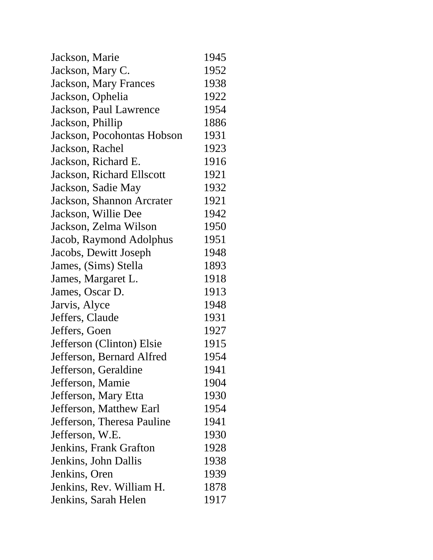| Jackson, Marie               | 1945 |
|------------------------------|------|
| Jackson, Mary C.             | 1952 |
| <b>Jackson, Mary Frances</b> | 1938 |
| Jackson, Ophelia             | 1922 |
| Jackson, Paul Lawrence       | 1954 |
| Jackson, Phillip             | 1886 |
| Jackson, Pocohontas Hobson   | 1931 |
| Jackson, Rachel              | 1923 |
| Jackson, Richard E.          | 1916 |
| Jackson, Richard Ellscott    | 1921 |
| Jackson, Sadie May           | 1932 |
| Jackson, Shannon Arcrater    | 1921 |
| Jackson, Willie Dee          | 1942 |
| Jackson, Zelma Wilson        | 1950 |
| Jacob, Raymond Adolphus      | 1951 |
| Jacobs, Dewitt Joseph        | 1948 |
| James, (Sims) Stella         | 1893 |
| James, Margaret L.           | 1918 |
| James, Oscar D.              | 1913 |
| Jarvis, Alyce                | 1948 |
| Jeffers, Claude              | 1931 |
| Jeffers, Goen                | 1927 |
| Jefferson (Clinton) Elsie    | 1915 |
| Jefferson, Bernard Alfred    | 1954 |
| Jefferson, Geraldine         | 1941 |
| Jefferson, Mamie             | 1904 |
| Jefferson, Mary Etta         | 1930 |
| Jefferson, Matthew Earl      | 1954 |
| Jefferson, Theresa Pauline   | 1941 |
| Jefferson, W.E.              | 1930 |
| Jenkins, Frank Grafton       | 1928 |
| Jenkins, John Dallis         | 1938 |
| Jenkins, Oren                | 1939 |
| Jenkins, Rev. William H.     | 1878 |
| Jenkins, Sarah Helen         | 1917 |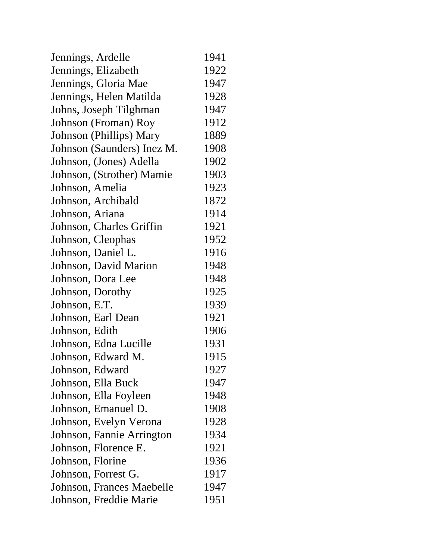| Jennings, Ardelle          | 1941 |
|----------------------------|------|
| Jennings, Elizabeth        | 1922 |
| Jennings, Gloria Mae       | 1947 |
| Jennings, Helen Matilda    | 1928 |
| Johns, Joseph Tilghman     | 1947 |
| Johnson (Froman) Roy       | 1912 |
| Johnson (Phillips) Mary    | 1889 |
| Johnson (Saunders) Inez M. | 1908 |
| Johnson, (Jones) Adella    | 1902 |
| Johnson, (Strother) Mamie  | 1903 |
| Johnson, Amelia            | 1923 |
| Johnson, Archibald         | 1872 |
| Johnson, Ariana            | 1914 |
| Johnson, Charles Griffin   | 1921 |
| Johnson, Cleophas          | 1952 |
| Johnson, Daniel L.         | 1916 |
| Johnson, David Marion      | 1948 |
| Johnson, Dora Lee          | 1948 |
| Johnson, Dorothy           | 1925 |
| Johnson, E.T.              | 1939 |
| Johnson, Earl Dean         | 1921 |
| Johnson, Edith             | 1906 |
| Johnson, Edna Lucille      | 1931 |
| Johnson, Edward M.         | 1915 |
| Johnson, Edward            | 1927 |
| Johnson, Ella Buck         | 1947 |
| Johnson, Ella Foyleen      | 1948 |
| Johnson, Emanuel D.        | 1908 |
| Johnson, Evelyn Verona     | 1928 |
| Johnson, Fannie Arrington  | 1934 |
| Johnson, Florence E.       | 1921 |
| Johnson, Florine           | 1936 |
| Johnson, Forrest G.        | 1917 |
| Johnson, Frances Maebelle  | 1947 |
| Johnson, Freddie Marie     | 1951 |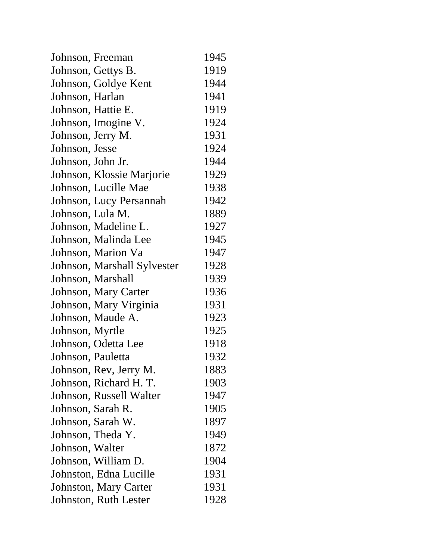| Johnson, Freeman             | 1945 |
|------------------------------|------|
| Johnson, Gettys B.           | 1919 |
| Johnson, Goldye Kent         | 1944 |
| Johnson, Harlan              | 1941 |
| Johnson, Hattie E.           | 1919 |
| Johnson, Imogine V.          | 1924 |
| Johnson, Jerry M.            | 1931 |
| Johnson, Jesse               | 1924 |
| Johnson, John Jr.            | 1944 |
| Johnson, Klossie Marjorie    | 1929 |
| Johnson, Lucille Mae         | 1938 |
| Johnson, Lucy Persannah      | 1942 |
| Johnson, Lula M.             | 1889 |
| Johnson, Madeline L.         | 1927 |
| Johnson, Malinda Lee         | 1945 |
| Johnson, Marion Va           | 1947 |
| Johnson, Marshall Sylvester  | 1928 |
| Johnson, Marshall            | 1939 |
| Johnson, Mary Carter         | 1936 |
| Johnson, Mary Virginia       | 1931 |
| Johnson, Maude A.            | 1923 |
| Johnson, Myrtle              | 1925 |
| Johnson, Odetta Lee          | 1918 |
| Johnson, Pauletta            | 1932 |
| Johnson, Rev, Jerry M.       | 1883 |
| Johnson, Richard H. T.       | 1903 |
| Johnson, Russell Walter      | 1947 |
| Johnson, Sarah R.            | 1905 |
| Johnson, Sarah W.            | 1897 |
| Johnson, Theda Y.            | 1949 |
| Johnson, Walter              | 1872 |
| Johnson, William D.          | 1904 |
| Johnston, Edna Lucille       | 1931 |
| <b>Johnston, Mary Carter</b> | 1931 |
| Johnston, Ruth Lester        | 1928 |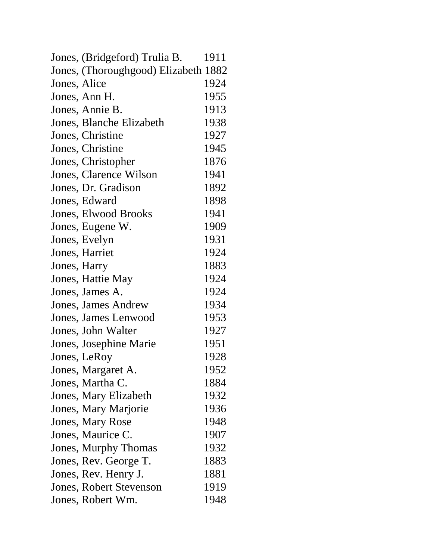| Jones, (Bridgeford) Trulia B.        | 1911 |
|--------------------------------------|------|
| Jones, (Thoroughgood) Elizabeth 1882 |      |
| Jones, Alice                         | 1924 |
| Jones, Ann H.                        | 1955 |
| Jones, Annie B.                      | 1913 |
| Jones, Blanche Elizabeth             | 1938 |
| Jones, Christine                     | 1927 |
| Jones, Christine                     | 1945 |
| Jones, Christopher                   | 1876 |
| Jones, Clarence Wilson               | 1941 |
| Jones, Dr. Gradison                  | 1892 |
| Jones, Edward                        | 1898 |
| <b>Jones, Elwood Brooks</b>          | 1941 |
| Jones, Eugene W.                     | 1909 |
| Jones, Evelyn                        | 1931 |
| Jones, Harriet                       | 1924 |
| Jones, Harry                         | 1883 |
| Jones, Hattie May                    | 1924 |
| Jones, James A.                      | 1924 |
| <b>Jones, James Andrew</b>           | 1934 |
| Jones, James Lenwood                 | 1953 |
| Jones, John Walter                   | 1927 |
| Jones, Josephine Marie               | 1951 |
| Jones, LeRoy                         | 1928 |
| Jones, Margaret A.                   | 1952 |
| Jones, Martha C.                     | 1884 |
| Jones, Mary Elizabeth                | 1932 |
| Jones, Mary Marjorie                 | 1936 |
| <b>Jones, Mary Rose</b>              | 1948 |
| Jones, Maurice C.                    | 1907 |
| Jones, Murphy Thomas                 | 1932 |
| Jones, Rev. George T.                | 1883 |
| Jones, Rev. Henry J.                 | 1881 |
| <b>Jones, Robert Stevenson</b>       | 1919 |
| Jones, Robert Wm.                    | 1948 |
|                                      |      |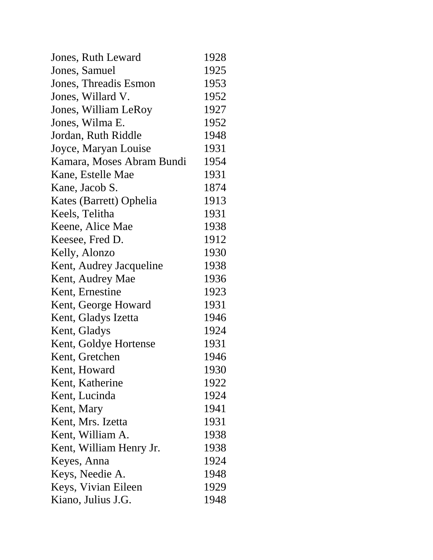| Jones, Ruth Leward        | 1928 |
|---------------------------|------|
| Jones, Samuel             | 1925 |
| Jones, Threadis Esmon     | 1953 |
| Jones, Willard V.         | 1952 |
| Jones, William LeRoy      | 1927 |
| Jones, Wilma E.           | 1952 |
| Jordan, Ruth Riddle       | 1948 |
| Joyce, Maryan Louise      | 1931 |
| Kamara, Moses Abram Bundi | 1954 |
| Kane, Estelle Mae         | 1931 |
| Kane, Jacob S.            | 1874 |
| Kates (Barrett) Ophelia   | 1913 |
| Keels, Telitha            | 1931 |
| Keene, Alice Mae          | 1938 |
| Keesee, Fred D.           | 1912 |
| Kelly, Alonzo             | 1930 |
| Kent, Audrey Jacqueline   | 1938 |
| Kent, Audrey Mae          | 1936 |
| Kent, Ernestine           | 1923 |
| Kent, George Howard       | 1931 |
| Kent, Gladys Izetta       | 1946 |
| Kent, Gladys              | 1924 |
| Kent, Goldye Hortense     | 1931 |
| Kent, Gretchen            | 1946 |
| Kent, Howard              | 1930 |
| Kent, Katherine           | 1922 |
| Kent, Lucinda             | 1924 |
| Kent, Mary                | 1941 |
| Kent, Mrs. Izetta         | 1931 |
| Kent, William A.          | 1938 |
| Kent, William Henry Jr.   | 1938 |
| Keyes, Anna               | 1924 |
| Keys, Needie A.           | 1948 |
| Keys, Vivian Eileen       | 1929 |
| Kiano, Julius J.G.        | 1948 |
|                           |      |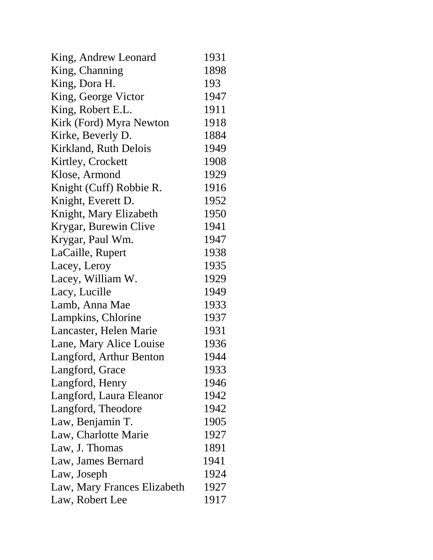| King, Andrew Leonard        | 1931 |
|-----------------------------|------|
| King, Channing              | 1898 |
| King, Dora H.               | 193  |
| King, George Victor         | 1947 |
| King, Robert E.L.           | 1911 |
| Kirk (Ford) Myra Newton     | 1918 |
| Kirke, Beverly D.           | 1884 |
| Kirkland, Ruth Delois       | 1949 |
| Kirtley, Crockett           | 1908 |
| Klose, Armond               | 1929 |
| Knight (Cuff) Robbie R.     | 1916 |
| Knight, Everett D.          | 1952 |
| Knight, Mary Elizabeth      | 1950 |
| Krygar, Burewin Clive       | 1941 |
| Krygar, Paul Wm.            | 1947 |
| LaCaille, Rupert            | 1938 |
| Lacey, Leroy                | 1935 |
| Lacey, William W.           | 1929 |
| Lacy, Lucille               | 1949 |
| Lamb, Anna Mae              | 1933 |
| Lampkins, Chlorine          | 1937 |
| Lancaster, Helen Marie      | 1931 |
| Lane, Mary Alice Louise     | 1936 |
| Langford, Arthur Benton     | 1944 |
| Langford, Grace             | 1933 |
| Langford, Henry             | 1946 |
| Langford, Laura Eleanor     | 1942 |
| Langford, Theodore          | 1942 |
| Law, Benjamin T.            | 1905 |
| Law, Charlotte Marie        | 1927 |
| Law, J. Thomas              | 1891 |
| Law, James Bernard          | 1941 |
| Law, Joseph                 | 1924 |
| Law, Mary Frances Elizabeth | 1927 |
| Law, Robert Lee             | 1917 |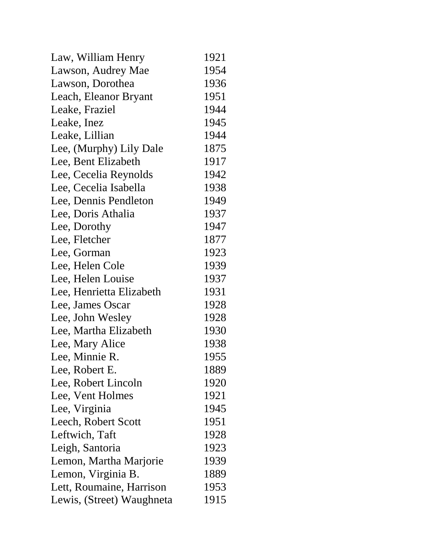| Law, William Henry        | 1921 |
|---------------------------|------|
| Lawson, Audrey Mae        | 1954 |
| Lawson, Dorothea          | 1936 |
| Leach, Eleanor Bryant     | 1951 |
| Leake, Fraziel            | 1944 |
| Leake, Inez               | 1945 |
| Leake, Lillian            | 1944 |
| Lee, (Murphy) Lily Dale   | 1875 |
| Lee, Bent Elizabeth       | 1917 |
| Lee, Cecelia Reynolds     | 1942 |
| Lee, Cecelia Isabella     | 1938 |
| Lee, Dennis Pendleton     | 1949 |
| Lee, Doris Athalia        | 1937 |
| Lee, Dorothy              | 1947 |
| Lee, Fletcher             | 1877 |
| Lee, Gorman               | 1923 |
| Lee, Helen Cole           | 1939 |
| Lee, Helen Louise         | 1937 |
| Lee, Henrietta Elizabeth  | 1931 |
| Lee, James Oscar          | 1928 |
| Lee, John Wesley          | 1928 |
| Lee, Martha Elizabeth     | 1930 |
| Lee, Mary Alice           | 1938 |
| Lee, Minnie R.            | 1955 |
| Lee, Robert E.            | 1889 |
| Lee, Robert Lincoln       | 1920 |
| Lee, Vent Holmes          | 1921 |
| Lee, Virginia             | 1945 |
| Leech, Robert Scott       | 1951 |
| Leftwich, Taft            | 1928 |
| Leigh, Santoria           | 1923 |
| Lemon, Martha Marjorie    | 1939 |
| Lemon, Virginia B.        | 1889 |
| Lett, Roumaine, Harrison  | 1953 |
| Lewis, (Street) Waughneta | 1915 |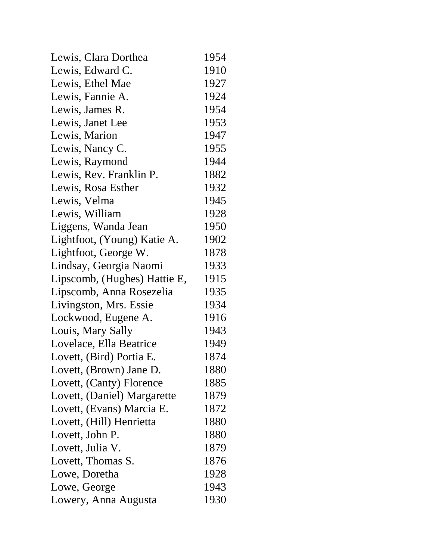| Lewis, Clara Dorthea         | 1954 |
|------------------------------|------|
| Lewis, Edward C.             | 1910 |
| Lewis, Ethel Mae             | 1927 |
| Lewis, Fannie A.             | 1924 |
| Lewis, James R.              | 1954 |
| Lewis, Janet Lee             | 1953 |
| Lewis, Marion                | 1947 |
| Lewis, Nancy C.              | 1955 |
| Lewis, Raymond               | 1944 |
| Lewis, Rev. Franklin P.      | 1882 |
| Lewis, Rosa Esther           | 1932 |
| Lewis, Velma                 | 1945 |
| Lewis, William               | 1928 |
| Liggens, Wanda Jean          | 1950 |
| Lightfoot, (Young) Katie A.  | 1902 |
| Lightfoot, George W.         | 1878 |
| Lindsay, Georgia Naomi       | 1933 |
| Lipscomb, (Hughes) Hattie E, | 1915 |
| Lipscomb, Anna Rosezelia     | 1935 |
| Livingston, Mrs. Essie       | 1934 |
| Lockwood, Eugene A.          | 1916 |
| Louis, Mary Sally            | 1943 |
| Lovelace, Ella Beatrice      | 1949 |
| Lovett, (Bird) Portia E.     | 1874 |
| Lovett, (Brown) Jane D.      | 1880 |
| Lovett, (Canty) Florence     | 1885 |
| Lovett, (Daniel) Margarette  | 1879 |
| Lovett, (Evans) Marcia E.    | 1872 |
| Lovett, (Hill) Henrietta     | 1880 |
| Lovett, John P.              | 1880 |
| Lovett, Julia V.             | 1879 |
| Lovett, Thomas S.            | 1876 |
| Lowe, Doretha                | 1928 |
| Lowe, George                 | 1943 |
| Lowery, Anna Augusta         | 1930 |
|                              |      |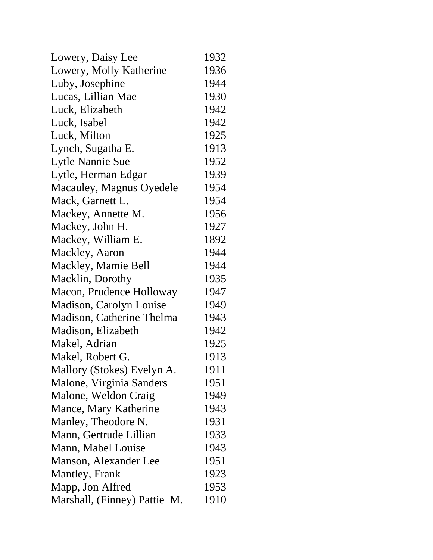| Lowery, Daisy Lee            | 1932 |
|------------------------------|------|
| Lowery, Molly Katherine      | 1936 |
| Luby, Josephine              | 1944 |
| Lucas, Lillian Mae           | 1930 |
| Luck, Elizabeth              | 1942 |
| Luck, Isabel                 | 1942 |
| Luck, Milton                 | 1925 |
| Lynch, Sugatha E.            | 1913 |
| Lytle Nannie Sue             | 1952 |
| Lytle, Herman Edgar          | 1939 |
| Macauley, Magnus Oyedele     | 1954 |
| Mack, Garnett L.             | 1954 |
| Mackey, Annette M.           | 1956 |
| Mackey, John H.              | 1927 |
| Mackey, William E.           | 1892 |
| Mackley, Aaron               | 1944 |
| Mackley, Mamie Bell          | 1944 |
| Macklin, Dorothy             | 1935 |
| Macon, Prudence Holloway     | 1947 |
| Madison, Carolyn Louise      | 1949 |
| Madison, Catherine Thelma    | 1943 |
| Madison, Elizabeth           | 1942 |
| Makel, Adrian                | 1925 |
| Makel, Robert G.             | 1913 |
| Mallory (Stokes) Evelyn A.   | 1911 |
| Malone, Virginia Sanders     | 1951 |
| Malone, Weldon Craig         | 1949 |
| Mance, Mary Katherine        | 1943 |
| Manley, Theodore N.          | 1931 |
| Mann, Gertrude Lillian       | 1933 |
| Mann, Mabel Louise           | 1943 |
| Manson, Alexander Lee        | 1951 |
| <b>Mantley</b> , Frank       | 1923 |
| Mapp, Jon Alfred             | 1953 |
| Marshall, (Finney) Pattie M. | 1910 |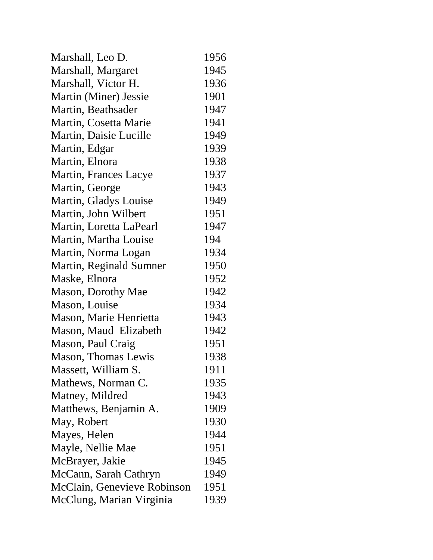| Marshall, Leo D.            | 1956 |
|-----------------------------|------|
| Marshall, Margaret          | 1945 |
| Marshall, Victor H.         | 1936 |
| Martin (Miner) Jessie       | 1901 |
| Martin, Beathsader          | 1947 |
| Martin, Cosetta Marie       | 1941 |
| Martin, Daisie Lucille      | 1949 |
| Martin, Edgar               | 1939 |
| Martin, Elnora              | 1938 |
| Martin, Frances Lacye       | 1937 |
| Martin, George              | 1943 |
| Martin, Gladys Louise       | 1949 |
| Martin, John Wilbert        | 1951 |
| Martin, Loretta LaPearl     | 1947 |
| Martin, Martha Louise       | 194  |
| Martin, Norma Logan         | 1934 |
| Martin, Reginald Sumner     | 1950 |
| Maske, Elnora               | 1952 |
| <b>Mason, Dorothy Mae</b>   | 1942 |
| Mason, Louise               | 1934 |
| Mason, Marie Henrietta      | 1943 |
| Mason, Maud Elizabeth       | 1942 |
| Mason, Paul Craig           | 1951 |
| Mason, Thomas Lewis         | 1938 |
| Massett, William S.         | 1911 |
| Mathews, Norman C.          | 1935 |
| Matney, Mildred             | 1943 |
| Matthews, Benjamin A.       | 1909 |
| May, Robert                 | 1930 |
| Mayes, Helen                | 1944 |
| Mayle, Nellie Mae           | 1951 |
| McBrayer, Jakie             | 1945 |
| McCann, Sarah Cathryn       | 1949 |
| McClain, Genevieve Robinson | 1951 |
| McClung, Marian Virginia    | 1939 |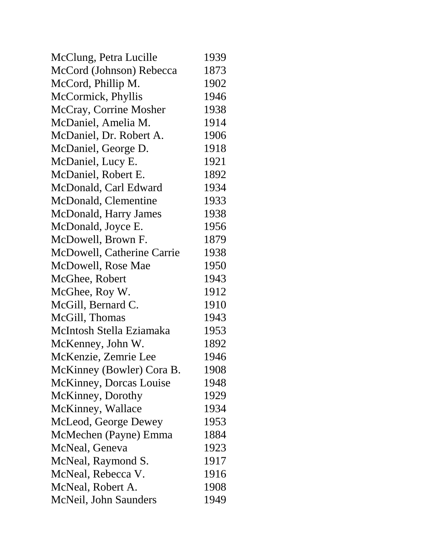| McClung, Petra Lucille       | 1939 |
|------------------------------|------|
| McCord (Johnson) Rebecca     | 1873 |
| McCord, Phillip M.           | 1902 |
| McCormick, Phyllis           | 1946 |
| McCray, Corrine Mosher       | 1938 |
| McDaniel, Amelia M.          | 1914 |
| McDaniel, Dr. Robert A.      | 1906 |
| McDaniel, George D.          | 1918 |
| McDaniel, Lucy E.            | 1921 |
| McDaniel, Robert E.          | 1892 |
| McDonald, Carl Edward        | 1934 |
| McDonald, Clementine         | 1933 |
| <b>McDonald, Harry James</b> | 1938 |
| McDonald, Joyce E.           | 1956 |
| McDowell, Brown F.           | 1879 |
| McDowell, Catherine Carrie   | 1938 |
| McDowell, Rose Mae           | 1950 |
| McGhee, Robert               | 1943 |
| McGhee, Roy W.               | 1912 |
| McGill, Bernard C.           | 1910 |
| McGill, Thomas               | 1943 |
| McIntosh Stella Eziamaka     | 1953 |
| McKenney, John W.            | 1892 |
| McKenzie, Zemrie Lee         | 1946 |
| McKinney (Bowler) Cora B.    | 1908 |
| McKinney, Dorcas Louise      | 1948 |
| McKinney, Dorothy            | 1929 |
| McKinney, Wallace            | 1934 |
| McLeod, George Dewey         | 1953 |
| McMechen (Payne) Emma        | 1884 |
| McNeal, Geneva               | 1923 |
| McNeal, Raymond S.           | 1917 |
| McNeal, Rebecca V.           | 1916 |
| McNeal, Robert A.            | 1908 |
| McNeil, John Saunders        | 1949 |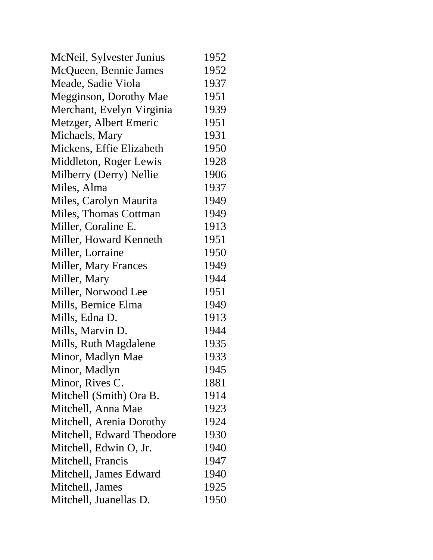| McQueen, Bennie James<br>Meade, Sadie Viola<br><b>Megginson, Dorothy Mae</b><br>Merchant, Evelyn Virginia<br>Metzger, Albert Emeric<br>Michaels, Mary<br>Mickens, Effie Elizabeth<br>Middleton, Roger Lewis<br>Milberry (Derry) Nellie<br>Miles, Alma<br>Miles, Carolyn Maurita<br>Miles, Thomas Cottman<br>Miller, Coraline E.<br>Miller, Howard Kenneth<br>Miller, Lorraine<br><b>Miller, Mary Frances</b><br>Miller, Mary<br>Miller, Norwood Lee<br>Mills, Bernice Elma<br>Mills, Edna D.<br>Mills, Marvin D.<br>Mills, Ruth Magdalene<br>Minor, Madlyn Mae<br>Minor, Madlyn<br>Minor, Rives C.<br>Mitchell (Smith) Ora B.<br>Mitchell, Anna Mae<br>Mitchell, Arenia Dorothy<br>Mitchell, Edward Theodore<br>Mitchell, Edwin O, Jr.<br>Mitchell, Francis<br>Mitchell, James Edward<br>Mitchell, James | McNeil, Sylvester Junius | 1952 |
|----------------------------------------------------------------------------------------------------------------------------------------------------------------------------------------------------------------------------------------------------------------------------------------------------------------------------------------------------------------------------------------------------------------------------------------------------------------------------------------------------------------------------------------------------------------------------------------------------------------------------------------------------------------------------------------------------------------------------------------------------------------------------------------------------------|--------------------------|------|
|                                                                                                                                                                                                                                                                                                                                                                                                                                                                                                                                                                                                                                                                                                                                                                                                          |                          | 1952 |
|                                                                                                                                                                                                                                                                                                                                                                                                                                                                                                                                                                                                                                                                                                                                                                                                          |                          | 1937 |
|                                                                                                                                                                                                                                                                                                                                                                                                                                                                                                                                                                                                                                                                                                                                                                                                          |                          | 1951 |
|                                                                                                                                                                                                                                                                                                                                                                                                                                                                                                                                                                                                                                                                                                                                                                                                          |                          | 1939 |
|                                                                                                                                                                                                                                                                                                                                                                                                                                                                                                                                                                                                                                                                                                                                                                                                          |                          | 1951 |
|                                                                                                                                                                                                                                                                                                                                                                                                                                                                                                                                                                                                                                                                                                                                                                                                          |                          | 1931 |
|                                                                                                                                                                                                                                                                                                                                                                                                                                                                                                                                                                                                                                                                                                                                                                                                          |                          | 1950 |
|                                                                                                                                                                                                                                                                                                                                                                                                                                                                                                                                                                                                                                                                                                                                                                                                          |                          | 1928 |
|                                                                                                                                                                                                                                                                                                                                                                                                                                                                                                                                                                                                                                                                                                                                                                                                          |                          | 1906 |
|                                                                                                                                                                                                                                                                                                                                                                                                                                                                                                                                                                                                                                                                                                                                                                                                          |                          | 1937 |
|                                                                                                                                                                                                                                                                                                                                                                                                                                                                                                                                                                                                                                                                                                                                                                                                          |                          | 1949 |
|                                                                                                                                                                                                                                                                                                                                                                                                                                                                                                                                                                                                                                                                                                                                                                                                          |                          | 1949 |
|                                                                                                                                                                                                                                                                                                                                                                                                                                                                                                                                                                                                                                                                                                                                                                                                          |                          | 1913 |
|                                                                                                                                                                                                                                                                                                                                                                                                                                                                                                                                                                                                                                                                                                                                                                                                          |                          | 1951 |
|                                                                                                                                                                                                                                                                                                                                                                                                                                                                                                                                                                                                                                                                                                                                                                                                          |                          | 1950 |
|                                                                                                                                                                                                                                                                                                                                                                                                                                                                                                                                                                                                                                                                                                                                                                                                          |                          | 1949 |
|                                                                                                                                                                                                                                                                                                                                                                                                                                                                                                                                                                                                                                                                                                                                                                                                          |                          | 1944 |
|                                                                                                                                                                                                                                                                                                                                                                                                                                                                                                                                                                                                                                                                                                                                                                                                          |                          | 1951 |
|                                                                                                                                                                                                                                                                                                                                                                                                                                                                                                                                                                                                                                                                                                                                                                                                          |                          | 1949 |
|                                                                                                                                                                                                                                                                                                                                                                                                                                                                                                                                                                                                                                                                                                                                                                                                          |                          | 1913 |
|                                                                                                                                                                                                                                                                                                                                                                                                                                                                                                                                                                                                                                                                                                                                                                                                          |                          | 1944 |
|                                                                                                                                                                                                                                                                                                                                                                                                                                                                                                                                                                                                                                                                                                                                                                                                          |                          | 1935 |
|                                                                                                                                                                                                                                                                                                                                                                                                                                                                                                                                                                                                                                                                                                                                                                                                          |                          | 1933 |
|                                                                                                                                                                                                                                                                                                                                                                                                                                                                                                                                                                                                                                                                                                                                                                                                          |                          | 1945 |
|                                                                                                                                                                                                                                                                                                                                                                                                                                                                                                                                                                                                                                                                                                                                                                                                          |                          | 1881 |
|                                                                                                                                                                                                                                                                                                                                                                                                                                                                                                                                                                                                                                                                                                                                                                                                          |                          | 1914 |
|                                                                                                                                                                                                                                                                                                                                                                                                                                                                                                                                                                                                                                                                                                                                                                                                          |                          | 1923 |
|                                                                                                                                                                                                                                                                                                                                                                                                                                                                                                                                                                                                                                                                                                                                                                                                          |                          | 1924 |
|                                                                                                                                                                                                                                                                                                                                                                                                                                                                                                                                                                                                                                                                                                                                                                                                          |                          | 1930 |
|                                                                                                                                                                                                                                                                                                                                                                                                                                                                                                                                                                                                                                                                                                                                                                                                          |                          | 1940 |
|                                                                                                                                                                                                                                                                                                                                                                                                                                                                                                                                                                                                                                                                                                                                                                                                          |                          | 1947 |
|                                                                                                                                                                                                                                                                                                                                                                                                                                                                                                                                                                                                                                                                                                                                                                                                          |                          | 1940 |
|                                                                                                                                                                                                                                                                                                                                                                                                                                                                                                                                                                                                                                                                                                                                                                                                          |                          | 1925 |
|                                                                                                                                                                                                                                                                                                                                                                                                                                                                                                                                                                                                                                                                                                                                                                                                          | Mitchell, Juanellas D.   | 1950 |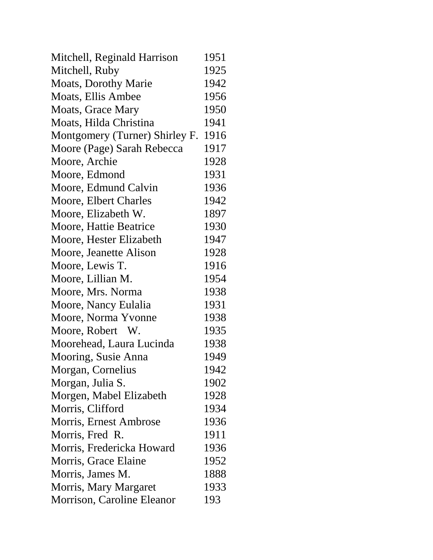| Mitchell, Reginald Harrison    | 1951 |
|--------------------------------|------|
| Mitchell, Ruby                 | 1925 |
| <b>Moats, Dorothy Marie</b>    | 1942 |
| Moats, Ellis Ambee             | 1956 |
| <b>Moats, Grace Mary</b>       | 1950 |
| Moats, Hilda Christina         | 1941 |
| Montgomery (Turner) Shirley F. | 1916 |
| Moore (Page) Sarah Rebecca     | 1917 |
| Moore, Archie                  | 1928 |
| Moore, Edmond                  | 1931 |
| Moore, Edmund Calvin           | 1936 |
| Moore, Elbert Charles          | 1942 |
| Moore, Elizabeth W.            | 1897 |
| Moore, Hattie Beatrice         | 1930 |
| Moore, Hester Elizabeth        | 1947 |
| Moore, Jeanette Alison         | 1928 |
| Moore, Lewis T.                | 1916 |
| Moore, Lillian M.              | 1954 |
| Moore, Mrs. Norma              | 1938 |
| Moore, Nancy Eulalia           | 1931 |
| Moore, Norma Yvonne            | 1938 |
| Moore, Robert W.               | 1935 |
| Moorehead, Laura Lucinda       | 1938 |
| Mooring, Susie Anna            | 1949 |
| Morgan, Cornelius              | 1942 |
| Morgan, Julia S.               | 1902 |
| Morgen, Mabel Elizabeth        | 1928 |
| Morris, Clifford               | 1934 |
| Morris, Ernest Ambrose         | 1936 |
| Morris, Fred R.                | 1911 |
| Morris, Fredericka Howard      | 1936 |
| Morris, Grace Elaine           | 1952 |
| Morris, James M.               | 1888 |
| Morris, Mary Margaret          | 1933 |
| Morrison, Caroline Eleanor     | 193  |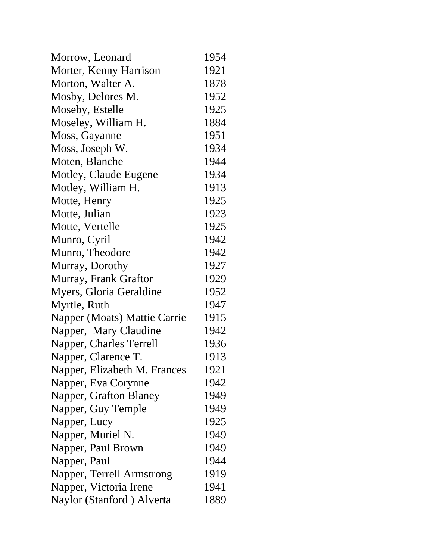| Morrow, Leonard              | 1954 |
|------------------------------|------|
| Morter, Kenny Harrison       | 1921 |
| Morton, Walter A.            | 1878 |
| Mosby, Delores M.            | 1952 |
| Moseby, Estelle              | 1925 |
| Moseley, William H.          | 1884 |
| Moss, Gayanne                | 1951 |
| Moss, Joseph W.              | 1934 |
| Moten, Blanche               | 1944 |
| Motley, Claude Eugene        | 1934 |
| Motley, William H.           | 1913 |
| Motte, Henry                 | 1925 |
| Motte, Julian                | 1923 |
| Motte, Vertelle              | 1925 |
| Munro, Cyril                 | 1942 |
| Munro, Theodore              | 1942 |
| Murray, Dorothy              | 1927 |
| Murray, Frank Graftor        | 1929 |
| Myers, Gloria Geraldine      | 1952 |
| Myrtle, Ruth                 | 1947 |
| Napper (Moats) Mattie Carrie | 1915 |
| Napper, Mary Claudine        | 1942 |
| Napper, Charles Terrell      | 1936 |
| Napper, Clarence T.          | 1913 |
| Napper, Elizabeth M. Frances | 1921 |
| Napper, Eva Corynne          | 1942 |
| Napper, Grafton Blaney       | 1949 |
| Napper, Guy Temple           | 1949 |
| Napper, Lucy                 | 1925 |
| Napper, Muriel N.            | 1949 |
| Napper, Paul Brown           | 1949 |
| Napper, Paul                 | 1944 |
| Napper, Terrell Armstrong    | 1919 |
| Napper, Victoria Irene       | 1941 |
| Naylor (Stanford) Alverta    | 1889 |
|                              |      |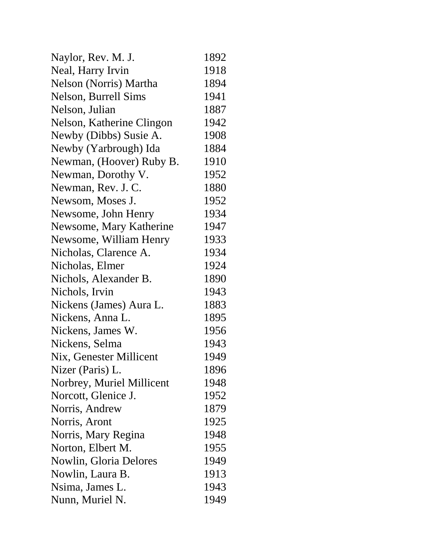| Naylor, Rev. M. J.        | 1892 |
|---------------------------|------|
| Neal, Harry Irvin         | 1918 |
| Nelson (Norris) Martha    | 1894 |
| Nelson, Burrell Sims      | 1941 |
| Nelson, Julian            | 1887 |
| Nelson, Katherine Clingon | 1942 |
| Newby (Dibbs) Susie A.    | 1908 |
| Newby (Yarbrough) Ida     | 1884 |
| Newman, (Hoover) Ruby B.  | 1910 |
| Newman, Dorothy V.        | 1952 |
| Newman, Rev. J. C.        | 1880 |
| Newsom, Moses J.          | 1952 |
| Newsome, John Henry       | 1934 |
| Newsome, Mary Katherine   | 1947 |
| Newsome, William Henry    | 1933 |
| Nicholas, Clarence A.     | 1934 |
| Nicholas, Elmer           | 1924 |
| Nichols, Alexander B.     | 1890 |
| Nichols, Irvin            | 1943 |
| Nickens (James) Aura L.   | 1883 |
| Nickens, Anna L.          | 1895 |
| Nickens, James W.         | 1956 |
| Nickens, Selma            | 1943 |
| Nix, Genester Millicent   | 1949 |
| Nizer (Paris) L.          | 1896 |
| Norbrey, Muriel Millicent | 1948 |
| Norcott, Glenice J.       | 1952 |
| Norris, Andrew            | 1879 |
| Norris, Aront             | 1925 |
| Norris, Mary Regina       | 1948 |
| Norton, Elbert M.         | 1955 |
| Nowlin, Gloria Delores    | 1949 |
| Nowlin, Laura B.          | 1913 |
| Nsima, James L.           | 1943 |
| Nunn, Muriel N.           | 1949 |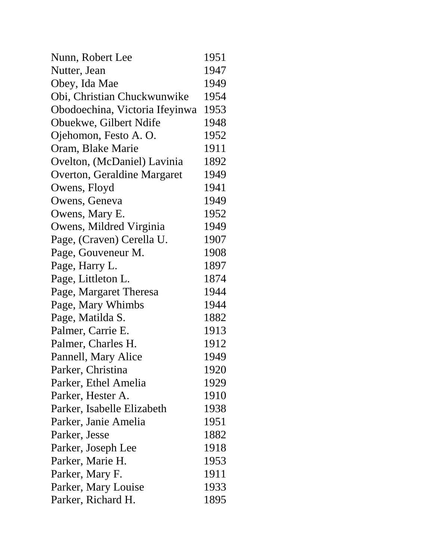| Nunn, Robert Lee               | 1951 |
|--------------------------------|------|
| Nutter, Jean                   | 1947 |
| Obey, Ida Mae                  | 1949 |
| Obi, Christian Chuckwunwike    | 1954 |
| Obodoechina, Victoria Ifeyinwa | 1953 |
| Obuekwe, Gilbert Ndife         | 1948 |
| Ojehomon, Festo A. O.          | 1952 |
| Oram, Blake Marie              | 1911 |
| Ovelton, (McDaniel) Lavinia    | 1892 |
| Overton, Geraldine Margaret    | 1949 |
| Owens, Floyd                   | 1941 |
| Owens, Geneva                  | 1949 |
| Owens, Mary E.                 | 1952 |
| Owens, Mildred Virginia        | 1949 |
| Page, (Craven) Cerella U.      | 1907 |
| Page, Gouveneur M.             | 1908 |
| Page, Harry L.                 | 1897 |
| Page, Littleton L.             | 1874 |
| Page, Margaret Theresa         | 1944 |
| Page, Mary Whimbs              | 1944 |
| Page, Matilda S.               | 1882 |
| Palmer, Carrie E.              | 1913 |
| Palmer, Charles H.             | 1912 |
| Pannell, Mary Alice            | 1949 |
| Parker, Christina              | 1920 |
| Parker, Ethel Amelia           | 1929 |
| Parker, Hester A.              | 1910 |
| Parker, Isabelle Elizabeth     | 1938 |
| Parker, Janie Amelia           | 1951 |
| Parker, Jesse                  | 1882 |
| Parker, Joseph Lee             | 1918 |
| Parker, Marie H.               | 1953 |
| Parker, Mary F.                | 1911 |
| Parker, Mary Louise            | 1933 |
| Parker, Richard H.             | 1895 |
|                                |      |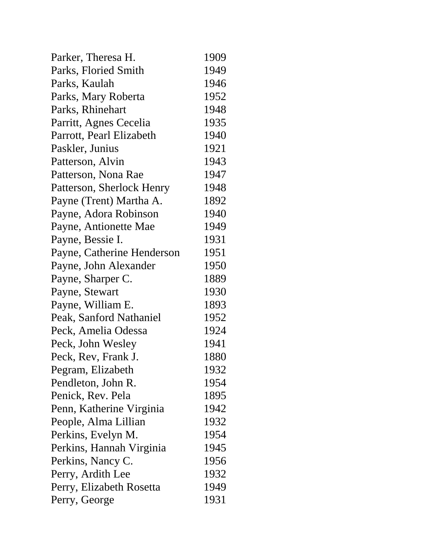| Parker, Theresa H.         | 1909 |
|----------------------------|------|
| Parks, Floried Smith       | 1949 |
| Parks, Kaulah              | 1946 |
| Parks, Mary Roberta        | 1952 |
| Parks, Rhinehart           | 1948 |
| Parritt, Agnes Cecelia     | 1935 |
| Parrott, Pearl Elizabeth   | 1940 |
| Paskler, Junius            | 1921 |
| Patterson, Alvin           | 1943 |
| Patterson, Nona Rae        | 1947 |
| Patterson, Sherlock Henry  | 1948 |
| Payne (Trent) Martha A.    | 1892 |
| Payne, Adora Robinson      | 1940 |
| Payne, Antionette Mae      | 1949 |
| Payne, Bessie I.           | 1931 |
| Payne, Catherine Henderson | 1951 |
| Payne, John Alexander      | 1950 |
| Payne, Sharper C.          | 1889 |
| Payne, Stewart             | 1930 |
| Payne, William E.          | 1893 |
| Peak, Sanford Nathaniel    | 1952 |
| Peck, Amelia Odessa        | 1924 |
| Peck, John Wesley          | 1941 |
| Peck, Rev, Frank J.        | 1880 |
| Pegram, Elizabeth          | 1932 |
| Pendleton, John R.         | 1954 |
| Penick, Rev. Pela          | 1895 |
| Penn, Katherine Virginia   | 1942 |
| People, Alma Lillian       | 1932 |
| Perkins, Evelyn M.         | 1954 |
| Perkins, Hannah Virginia   | 1945 |
| Perkins, Nancy C.          | 1956 |
| Perry, Ardith Lee          | 1932 |
| Perry, Elizabeth Rosetta   | 1949 |
| Perry, George              | 1931 |
|                            |      |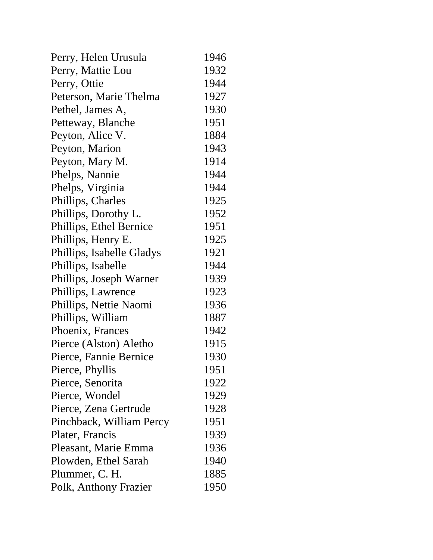| Perry, Helen Urusula      | 1946 |
|---------------------------|------|
| Perry, Mattie Lou         | 1932 |
| Perry, Ottie              | 1944 |
| Peterson, Marie Thelma    | 1927 |
| Pethel, James A,          | 1930 |
| Petteway, Blanche         | 1951 |
| Peyton, Alice V.          | 1884 |
| Peyton, Marion            | 1943 |
| Peyton, Mary M.           | 1914 |
| Phelps, Nannie            | 1944 |
| Phelps, Virginia          | 1944 |
| Phillips, Charles         | 1925 |
| Phillips, Dorothy L.      | 1952 |
| Phillips, Ethel Bernice   | 1951 |
| Phillips, Henry E.        | 1925 |
| Phillips, Isabelle Gladys | 1921 |
| Phillips, Isabelle        | 1944 |
| Phillips, Joseph Warner   | 1939 |
| Phillips, Lawrence        | 1923 |
| Phillips, Nettie Naomi    | 1936 |
| Phillips, William         | 1887 |
| Phoenix, Frances          | 1942 |
| Pierce (Alston) Aletho    | 1915 |
| Pierce, Fannie Bernice    | 1930 |
| Pierce, Phyllis           | 1951 |
| Pierce, Senorita          | 1922 |
| Pierce, Wondel            | 1929 |
| Pierce, Zena Gertrude     | 1928 |
| Pinchback, William Percy  | 1951 |
| Plater, Francis           | 1939 |
| Pleasant, Marie Emma      | 1936 |
| Plowden, Ethel Sarah      | 1940 |
| Plummer, C. H.            | 1885 |
| Polk, Anthony Frazier     | 1950 |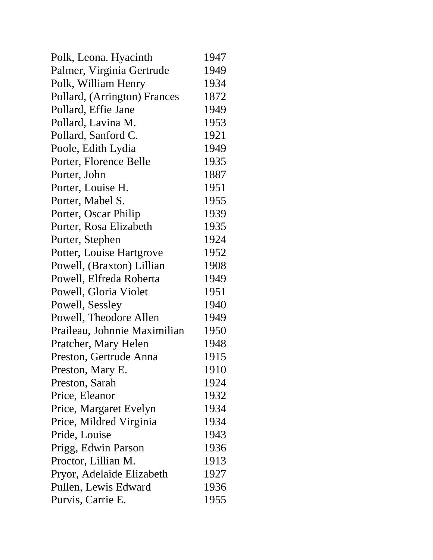| Polk, Leona. Hyacinth        | 1947 |
|------------------------------|------|
| Palmer, Virginia Gertrude    | 1949 |
| Polk, William Henry          | 1934 |
| Pollard, (Arrington) Frances | 1872 |
| Pollard, Effie Jane          | 1949 |
| Pollard, Lavina M.           | 1953 |
| Pollard, Sanford C.          | 1921 |
| Poole, Edith Lydia           | 1949 |
| Porter, Florence Belle       | 1935 |
| Porter, John                 | 1887 |
| Porter, Louise H.            | 1951 |
| Porter, Mabel S.             | 1955 |
| Porter, Oscar Philip         | 1939 |
| Porter, Rosa Elizabeth       | 1935 |
| Porter, Stephen              | 1924 |
| Potter, Louise Hartgrove     | 1952 |
| Powell, (Braxton) Lillian    | 1908 |
| Powell, Elfreda Roberta      | 1949 |
| Powell, Gloria Violet        | 1951 |
| Powell, Sessley              | 1940 |
| Powell, Theodore Allen       | 1949 |
| Praileau, Johnnie Maximilian | 1950 |
| Pratcher, Mary Helen         | 1948 |
| Preston, Gertrude Anna       | 1915 |
| Preston, Mary E.             | 1910 |
| Preston, Sarah               | 1924 |
| Price, Eleanor               | 1932 |
| Price, Margaret Evelyn       | 1934 |
| Price, Mildred Virginia      | 1934 |
| Pride, Louise                | 1943 |
| Prigg, Edwin Parson          | 1936 |
| Proctor, Lillian M.          | 1913 |
| Pryor, Adelaide Elizabeth    | 1927 |
| Pullen, Lewis Edward         | 1936 |
| Purvis, Carrie E.            | 1955 |
|                              |      |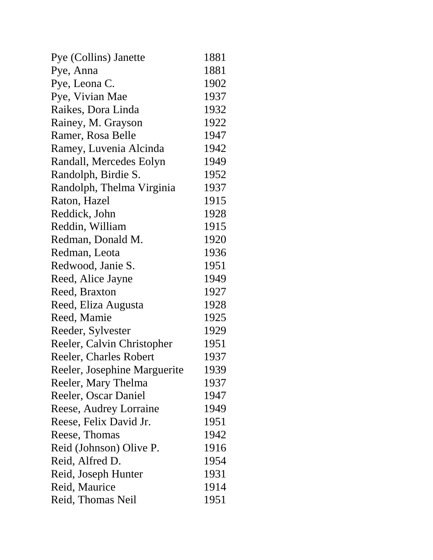| Pye (Collins) Janette        | 1881 |
|------------------------------|------|
| Pye, Anna                    | 1881 |
| Pye, Leona C.                | 1902 |
| Pye, Vivian Mae              | 1937 |
| Raikes, Dora Linda           | 1932 |
| Rainey, M. Grayson           | 1922 |
| Ramer, Rosa Belle            | 1947 |
| Ramey, Luvenia Alcinda       | 1942 |
| Randall, Mercedes Eolyn      | 1949 |
| Randolph, Birdie S.          | 1952 |
| Randolph, Thelma Virginia    | 1937 |
| Raton, Hazel                 | 1915 |
| Reddick, John                | 1928 |
| Reddin, William              | 1915 |
| Redman, Donald M.            | 1920 |
| Redman, Leota                | 1936 |
| Redwood, Janie S.            | 1951 |
| Reed, Alice Jayne            | 1949 |
| Reed, Braxton                | 1927 |
| Reed, Eliza Augusta          | 1928 |
| Reed, Mamie                  | 1925 |
| Reeder, Sylvester            | 1929 |
| Reeler, Calvin Christopher   | 1951 |
| Reeler, Charles Robert       | 1937 |
| Reeler, Josephine Marguerite | 1939 |
| Reeler, Mary Thelma          | 1937 |
| Reeler, Oscar Daniel         | 1947 |
| Reese, Audrey Lorraine       | 1949 |
| Reese, Felix David Jr.       | 1951 |
| Reese, Thomas                | 1942 |
| Reid (Johnson) Olive P.      | 1916 |
| Reid, Alfred D.              | 1954 |
| Reid, Joseph Hunter          | 1931 |
| Reid, Maurice                | 1914 |
| Reid, Thomas Neil            | 1951 |
|                              |      |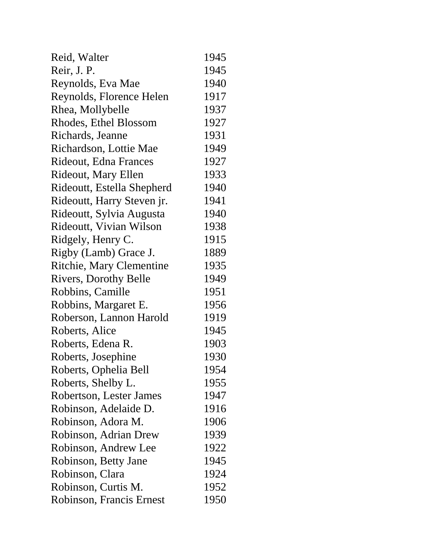| Reid, Walter                    | 1945 |
|---------------------------------|------|
| Reir, J. P.                     | 1945 |
| Reynolds, Eva Mae               | 1940 |
| Reynolds, Florence Helen        | 1917 |
| Rhea, Mollybelle                | 1937 |
| Rhodes, Ethel Blossom           | 1927 |
| Richards, Jeanne                | 1931 |
| Richardson, Lottie Mae          | 1949 |
| Rideout, Edna Frances           | 1927 |
| Rideout, Mary Ellen             | 1933 |
| Rideoutt, Estella Shepherd      | 1940 |
| Rideoutt, Harry Steven jr.      | 1941 |
| Rideoutt, Sylvia Augusta        | 1940 |
| Rideoutt, Vivian Wilson         | 1938 |
| Ridgely, Henry C.               | 1915 |
| Rigby (Lamb) Grace J.           | 1889 |
| <b>Ritchie, Mary Clementine</b> | 1935 |
| <b>Rivers, Dorothy Belle</b>    | 1949 |
| Robbins, Camille                | 1951 |
| Robbins, Margaret E.            | 1956 |
| Roberson, Lannon Harold         | 1919 |
| Roberts, Alice                  | 1945 |
| Roberts, Edena R.               | 1903 |
| Roberts, Josephine              | 1930 |
| Roberts, Ophelia Bell           | 1954 |
| Roberts, Shelby L.              | 1955 |
| Robertson, Lester James         | 1947 |
| Robinson, Adelaide D.           | 1916 |
| Robinson, Adora M.              | 1906 |
| Robinson, Adrian Drew           | 1939 |
| Robinson, Andrew Lee            | 1922 |
| Robinson, Betty Jane            | 1945 |
| Robinson, Clara                 | 1924 |
| Robinson, Curtis M.             | 1952 |
| Robinson, Francis Ernest        | 1950 |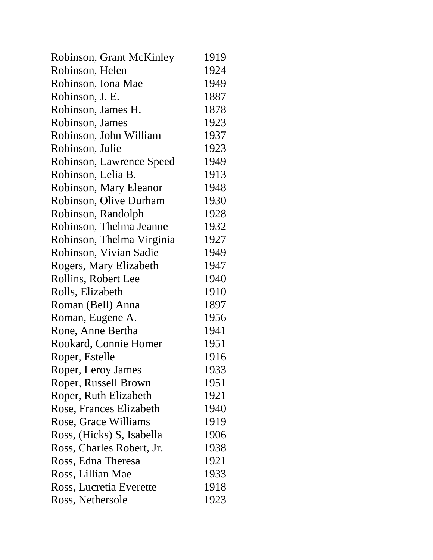| Robinson, Grant McKinley  | 1919 |
|---------------------------|------|
| Robinson, Helen           | 1924 |
| Robinson, Iona Mae        | 1949 |
| Robinson, J. E.           | 1887 |
| Robinson, James H.        | 1878 |
| Robinson, James           | 1923 |
| Robinson, John William    | 1937 |
| Robinson, Julie           | 1923 |
| Robinson, Lawrence Speed  | 1949 |
| Robinson, Lelia B.        | 1913 |
| Robinson, Mary Eleanor    | 1948 |
| Robinson, Olive Durham    | 1930 |
| Robinson, Randolph        | 1928 |
| Robinson, Thelma Jeanne   | 1932 |
| Robinson, Thelma Virginia | 1927 |
| Robinson, Vivian Sadie    | 1949 |
| Rogers, Mary Elizabeth    | 1947 |
| Rollins, Robert Lee       | 1940 |
| Rolls, Elizabeth          | 1910 |
| Roman (Bell) Anna         | 1897 |
| Roman, Eugene A.          | 1956 |
| Rone, Anne Bertha         | 1941 |
| Rookard, Connie Homer     | 1951 |
| Roper, Estelle            | 1916 |
| Roper, Leroy James        | 1933 |
| Roper, Russell Brown      | 1951 |
| Roper, Ruth Elizabeth     | 1921 |
| Rose, Frances Elizabeth   | 1940 |
| Rose, Grace Williams      | 1919 |
| Ross, (Hicks) S, Isabella | 1906 |
| Ross, Charles Robert, Jr. | 1938 |
| Ross, Edna Theresa        | 1921 |
| Ross, Lillian Mae         | 1933 |
| Ross, Lucretia Everette   | 1918 |
| Ross, Nethersole          | 1923 |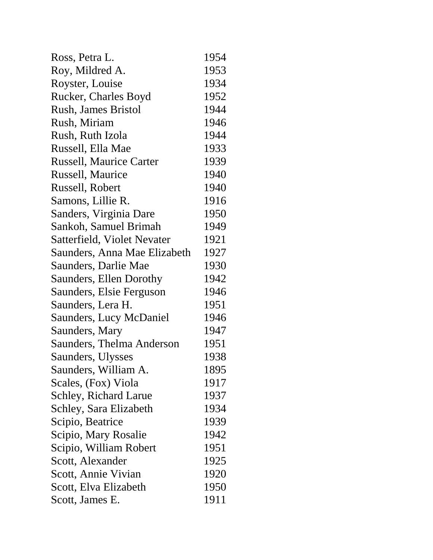| Ross, Petra L.                 | 1954 |
|--------------------------------|------|
| Roy, Mildred A.                | 1953 |
| Royster, Louise                | 1934 |
| Rucker, Charles Boyd           | 1952 |
| <b>Rush, James Bristol</b>     | 1944 |
| Rush, Miriam                   | 1946 |
| Rush, Ruth Izola               | 1944 |
| Russell, Ella Mae              | 1933 |
| <b>Russell, Maurice Carter</b> | 1939 |
| Russell, Maurice               | 1940 |
| Russell, Robert                | 1940 |
| Samons, Lillie R.              | 1916 |
| Sanders, Virginia Dare         | 1950 |
| Sankoh, Samuel Brimah          | 1949 |
| Satterfield, Violet Nevater    | 1921 |
| Saunders, Anna Mae Elizabeth   | 1927 |
| Saunders, Darlie Mae           | 1930 |
| <b>Saunders, Ellen Dorothy</b> | 1942 |
| Saunders, Elsie Ferguson       | 1946 |
| Saunders, Lera H.              | 1951 |
| Saunders, Lucy McDaniel        | 1946 |
| Saunders, Mary                 | 1947 |
| Saunders, Thelma Anderson      | 1951 |
| Saunders, Ulysses              | 1938 |
| Saunders, William A.           | 1895 |
| Scales, (Fox) Viola            | 1917 |
| Schley, Richard Larue          | 1937 |
| Schley, Sara Elizabeth         | 1934 |
| Scipio, Beatrice               | 1939 |
| Scipio, Mary Rosalie           | 1942 |
| Scipio, William Robert         | 1951 |
| Scott, Alexander               | 1925 |
| Scott, Annie Vivian            | 1920 |
| Scott, Elva Elizabeth          | 1950 |
| Scott, James E.                | 1911 |
|                                |      |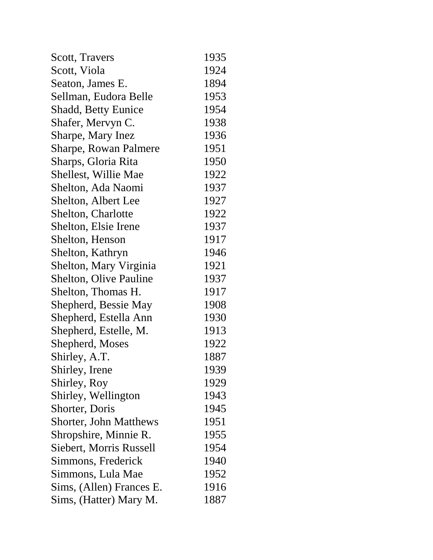| Scott, Travers                | 1935 |
|-------------------------------|------|
| Scott, Viola                  | 1924 |
| Seaton, James E.              | 1894 |
| Sellman, Eudora Belle         | 1953 |
| <b>Shadd, Betty Eunice</b>    | 1954 |
| Shafer, Mervyn C.             | 1938 |
| Sharpe, Mary Inez             | 1936 |
| <b>Sharpe, Rowan Palmere</b>  | 1951 |
| Sharps, Gloria Rita           | 1950 |
| Shellest, Willie Mae          | 1922 |
| Shelton, Ada Naomi            | 1937 |
| Shelton, Albert Lee           | 1927 |
| <b>Shelton, Charlotte</b>     | 1922 |
| Shelton, Elsie Irene          | 1937 |
| Shelton, Henson               | 1917 |
| Shelton, Kathryn              | 1946 |
| Shelton, Mary Virginia        | 1921 |
| <b>Shelton, Olive Pauline</b> | 1937 |
| Shelton, Thomas H.            | 1917 |
| Shepherd, Bessie May          | 1908 |
| Shepherd, Estella Ann         | 1930 |
| Shepherd, Estelle, M.         | 1913 |
| Shepherd, Moses               | 1922 |
| Shirley, A.T.                 | 1887 |
| Shirley, Irene                | 1939 |
| Shirley, Roy                  | 1929 |
| Shirley, Wellington           | 1943 |
| Shorter, Doris                | 1945 |
| <b>Shorter, John Matthews</b> | 1951 |
| Shropshire, Minnie R.         | 1955 |
| Siebert, Morris Russell       | 1954 |
| Simmons, Frederick            | 1940 |
| Simmons, Lula Mae             | 1952 |
| Sims, (Allen) Frances E.      | 1916 |
| Sims, (Hatter) Mary M.        | 1887 |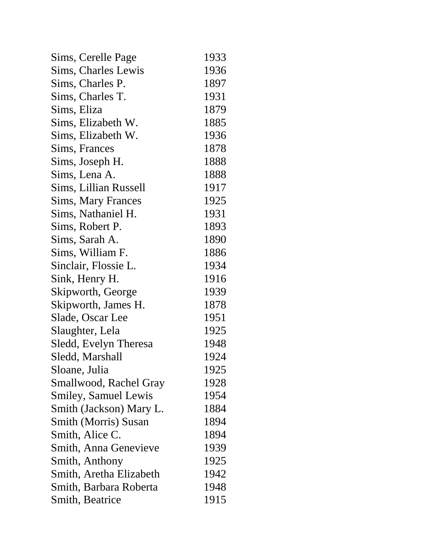| Sims, Cerelle Page          | 1933 |
|-----------------------------|------|
| Sims, Charles Lewis         | 1936 |
| Sims, Charles P.            | 1897 |
| Sims, Charles T.            | 1931 |
| Sims, Eliza                 | 1879 |
| Sims, Elizabeth W.          | 1885 |
| Sims, Elizabeth W.          | 1936 |
| Sims, Frances               | 1878 |
| Sims, Joseph H.             | 1888 |
| Sims, Lena A.               | 1888 |
| Sims, Lillian Russell       | 1917 |
| <b>Sims, Mary Frances</b>   | 1925 |
| Sims, Nathaniel H.          | 1931 |
| Sims, Robert P.             | 1893 |
| Sims, Sarah A.              | 1890 |
| Sims, William F.            | 1886 |
| Sinclair, Flossie L.        | 1934 |
| Sink, Henry H.              | 1916 |
| Skipworth, George           | 1939 |
| Skipworth, James H.         | 1878 |
| Slade, Oscar Lee            | 1951 |
| Slaughter, Lela             | 1925 |
| Sledd, Evelyn Theresa       | 1948 |
| Sledd, Marshall             | 1924 |
| Sloane, Julia               | 1925 |
| Smallwood, Rachel Gray      | 1928 |
| <b>Smiley, Samuel Lewis</b> | 1954 |
| Smith (Jackson) Mary L.     | 1884 |
| <b>Smith (Morris) Susan</b> | 1894 |
| Smith, Alice C.             | 1894 |
| Smith, Anna Genevieve       | 1939 |
| Smith, Anthony              | 1925 |
| Smith, Aretha Elizabeth     | 1942 |
| Smith, Barbara Roberta      | 1948 |
| Smith, Beatrice             | 1915 |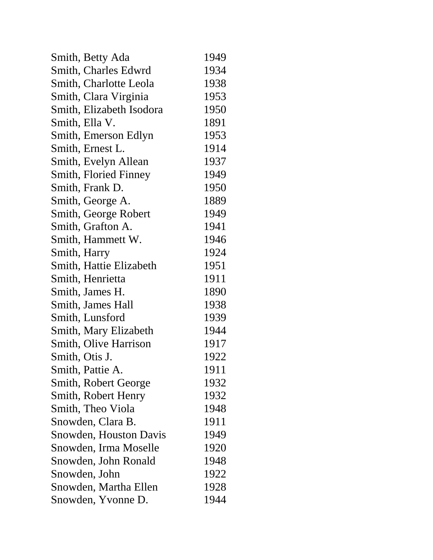| Smith, Betty Ada         | 1949 |
|--------------------------|------|
| Smith, Charles Edwrd     | 1934 |
| Smith, Charlotte Leola   | 1938 |
| Smith, Clara Virginia    | 1953 |
| Smith, Elizabeth Isodora | 1950 |
| Smith, Ella V.           | 1891 |
| Smith, Emerson Edlyn     | 1953 |
| Smith, Ernest L.         | 1914 |
| Smith, Evelyn Allean     | 1937 |
| Smith, Floried Finney    | 1949 |
| Smith, Frank D.          | 1950 |
| Smith, George A.         | 1889 |
| Smith, George Robert     | 1949 |
| Smith, Grafton A.        | 1941 |
| Smith, Hammett W.        | 1946 |
| Smith, Harry             | 1924 |
| Smith, Hattie Elizabeth  | 1951 |
| Smith, Henrietta         | 1911 |
| Smith, James H.          | 1890 |
| Smith, James Hall        | 1938 |
| Smith, Lunsford          | 1939 |
| Smith, Mary Elizabeth    | 1944 |
| Smith, Olive Harrison    | 1917 |
| Smith, Otis J.           | 1922 |
| Smith, Pattie A.         | 1911 |
| Smith, Robert George     | 1932 |
| Smith, Robert Henry      | 1932 |
| Smith, Theo Viola        | 1948 |
| Snowden, Clara B.        | 1911 |
| Snowden, Houston Davis   | 1949 |
| Snowden, Irma Moselle    | 1920 |
| Snowden, John Ronald     | 1948 |
| Snowden, John            | 1922 |
| Snowden, Martha Ellen    | 1928 |
| Snowden, Yvonne D.       | 1944 |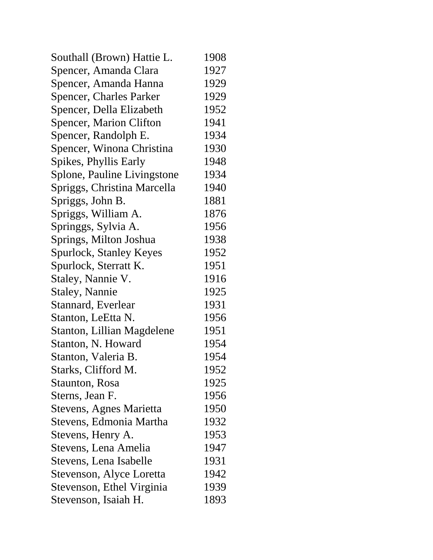| Southall (Brown) Hattie L.     | 1908 |
|--------------------------------|------|
| Spencer, Amanda Clara          | 1927 |
| Spencer, Amanda Hanna          | 1929 |
| <b>Spencer, Charles Parker</b> | 1929 |
| Spencer, Della Elizabeth       | 1952 |
| <b>Spencer, Marion Clifton</b> | 1941 |
| Spencer, Randolph E.           | 1934 |
| Spencer, Winona Christina      | 1930 |
| Spikes, Phyllis Early          | 1948 |
| Splone, Pauline Livingstone    | 1934 |
| Spriggs, Christina Marcella    | 1940 |
| Spriggs, John B.               | 1881 |
| Spriggs, William A.            | 1876 |
| Springgs, Sylvia A.            | 1956 |
| Springs, Milton Joshua         | 1938 |
| Spurlock, Stanley Keyes        | 1952 |
| Spurlock, Sterratt K.          | 1951 |
| Staley, Nannie V.              | 1916 |
| <b>Staley, Nannie</b>          | 1925 |
| Stannard, Everlear             | 1931 |
| Stanton, LeEtta N.             | 1956 |
| Stanton, Lillian Magdelene     | 1951 |
| Stanton, N. Howard             | 1954 |
| Stanton, Valeria B.            | 1954 |
| Starks, Clifford M.            | 1952 |
| Staunton, Rosa                 | 1925 |
| Sterns, Jean F.                | 1956 |
| Stevens, Agnes Marietta        | 1950 |
| Stevens, Edmonia Martha        | 1932 |
| Stevens, Henry A.              | 1953 |
| Stevens, Lena Amelia           | 1947 |
| Stevens, Lena Isabelle         | 1931 |
| Stevenson, Alyce Loretta       | 1942 |
| Stevenson, Ethel Virginia      | 1939 |
| Stevenson, Isaiah H.           | 1893 |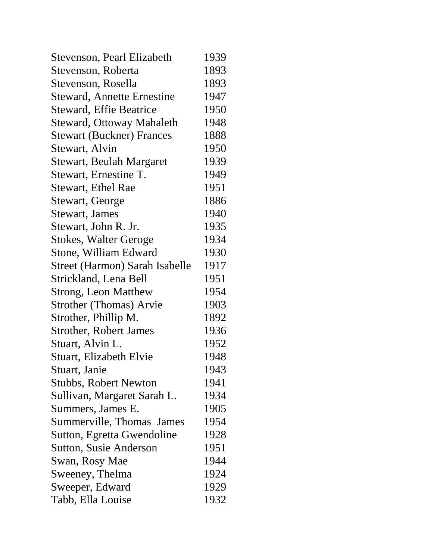| Stevenson, Pearl Elizabeth        | 1939 |
|-----------------------------------|------|
| Stevenson, Roberta                | 1893 |
| Stevenson, Rosella                | 1893 |
| <b>Steward, Annette Ernestine</b> | 1947 |
| <b>Steward, Effie Beatrice</b>    | 1950 |
| <b>Steward, Ottoway Mahaleth</b>  | 1948 |
| <b>Stewart (Buckner) Frances</b>  | 1888 |
| Stewart, Alvin                    | 1950 |
| <b>Stewart, Beulah Margaret</b>   | 1939 |
| Stewart, Ernestine T.             | 1949 |
| Stewart, Ethel Rae                | 1951 |
| Stewart, George                   | 1886 |
| <b>Stewart, James</b>             | 1940 |
| Stewart, John R. Jr.              | 1935 |
| <b>Stokes, Walter Geroge</b>      | 1934 |
| Stone, William Edward             | 1930 |
| Street (Harmon) Sarah Isabelle    | 1917 |
| Strickland, Lena Bell             | 1951 |
| <b>Strong, Leon Matthew</b>       | 1954 |
| <b>Strother (Thomas) Arvie</b>    | 1903 |
| Strother, Phillip M.              | 1892 |
| <b>Strother, Robert James</b>     | 1936 |
| Stuart, Alvin L.                  | 1952 |
| Stuart, Elizabeth Elvie           | 1948 |
| Stuart, Janie                     | 1943 |
| <b>Stubbs, Robert Newton</b>      | 1941 |
| Sullivan, Margaret Sarah L.       | 1934 |
| Summers, James E.                 | 1905 |
| Summerville, Thomas James         | 1954 |
| Sutton, Egretta Gwendoline        | 1928 |
| Sutton, Susie Anderson            | 1951 |
| Swan, Rosy Mae                    | 1944 |
| Sweeney, Thelma                   | 1924 |
| Sweeper, Edward                   | 1929 |
| Tabb, Ella Louise                 | 1932 |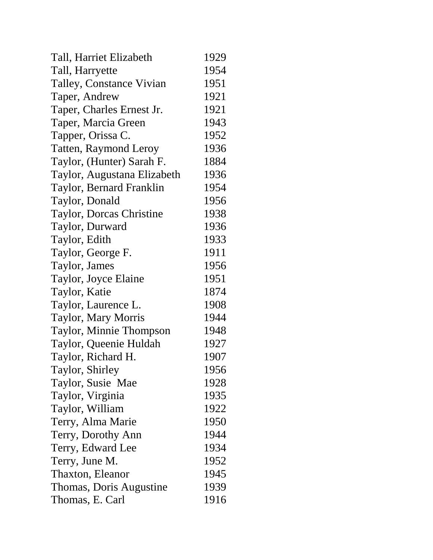| Tall, Harriet Elizabeth      | 1929 |
|------------------------------|------|
| Tall, Harryette              | 1954 |
| Talley, Constance Vivian     | 1951 |
| Taper, Andrew                | 1921 |
| Taper, Charles Ernest Jr.    | 1921 |
| Taper, Marcia Green          | 1943 |
| Tapper, Orissa C.            | 1952 |
| <b>Tatten, Raymond Leroy</b> | 1936 |
| Taylor, (Hunter) Sarah F.    | 1884 |
| Taylor, Augustana Elizabeth  | 1936 |
| Taylor, Bernard Franklin     | 1954 |
| Taylor, Donald               | 1956 |
| Taylor, Dorcas Christine     | 1938 |
| Taylor, Durward              | 1936 |
| Taylor, Edith                | 1933 |
| Taylor, George F.            | 1911 |
| Taylor, James                | 1956 |
| Taylor, Joyce Elaine         | 1951 |
| Taylor, Katie                | 1874 |
| Taylor, Laurence L.          | 1908 |
| Taylor, Mary Morris          | 1944 |
| Taylor, Minnie Thompson      | 1948 |
| Taylor, Queenie Huldah       | 1927 |
| Taylor, Richard H.           | 1907 |
| Taylor, Shirley              | 1956 |
| Taylor, Susie Mae            | 1928 |
| Taylor, Virginia             | 1935 |
| Taylor, William              | 1922 |
| Terry, Alma Marie            | 1950 |
| Terry, Dorothy Ann           | 1944 |
| Terry, Edward Lee            | 1934 |
| Terry, June M.               | 1952 |
| Thaxton, Eleanor             | 1945 |
| Thomas, Doris Augustine      | 1939 |
| Thomas, E. Carl              | 1916 |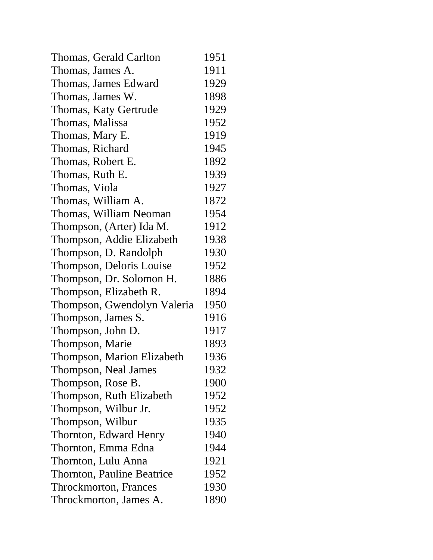| Thomas, Gerald Carlton            | 1951 |
|-----------------------------------|------|
| Thomas, James A.                  | 1911 |
| Thomas, James Edward              | 1929 |
| Thomas, James W.                  | 1898 |
| Thomas, Katy Gertrude             | 1929 |
| Thomas, Malissa                   | 1952 |
| Thomas, Mary E.                   | 1919 |
| Thomas, Richard                   | 1945 |
| Thomas, Robert E.                 | 1892 |
| Thomas, Ruth E.                   | 1939 |
| Thomas, Viola                     | 1927 |
| Thomas, William A.                | 1872 |
| Thomas, William Neoman            | 1954 |
| Thompson, (Arter) Ida M.          | 1912 |
| Thompson, Addie Elizabeth         | 1938 |
| Thompson, D. Randolph             | 1930 |
| Thompson, Deloris Louise          | 1952 |
| Thompson, Dr. Solomon H.          | 1886 |
| Thompson, Elizabeth R.            | 1894 |
| Thompson, Gwendolyn Valeria       | 1950 |
| Thompson, James S.                | 1916 |
| Thompson, John D.                 | 1917 |
| Thompson, Marie                   | 1893 |
| Thompson, Marion Elizabeth        | 1936 |
| Thompson, Neal James              | 1932 |
| Thompson, Rose B.                 | 1900 |
| Thompson, Ruth Elizabeth          | 1952 |
| Thompson, Wilbur Jr.              | 1952 |
| Thompson, Wilbur                  | 1935 |
| Thornton, Edward Henry            | 1940 |
| Thornton, Emma Edna               | 1944 |
| Thornton, Lulu Anna               | 1921 |
| <b>Thornton, Pauline Beatrice</b> | 1952 |
| <b>Throckmorton</b> , Frances     | 1930 |
| Throckmorton, James A.            | 1890 |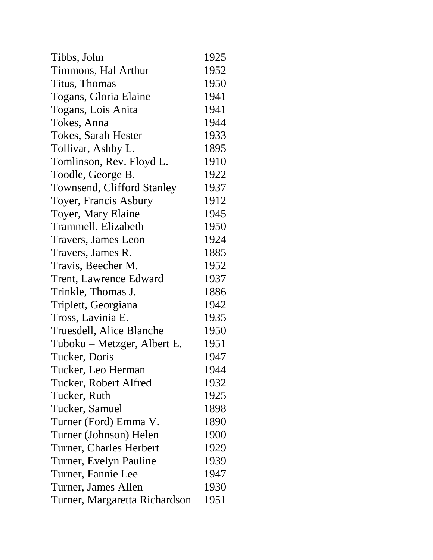| Tibbs, John                       | 1925 |
|-----------------------------------|------|
| Timmons, Hal Arthur               | 1952 |
| Titus, Thomas                     | 1950 |
| Togans, Gloria Elaine             | 1941 |
| Togans, Lois Anita                | 1941 |
| Tokes, Anna                       | 1944 |
| Tokes, Sarah Hester               | 1933 |
| Tollivar, Ashby L.                | 1895 |
| Tomlinson, Rev. Floyd L.          | 1910 |
| Toodle, George B.                 | 1922 |
| <b>Townsend, Clifford Stanley</b> | 1937 |
| Toyer, Francis Asbury             | 1912 |
| Toyer, Mary Elaine                | 1945 |
| Trammell, Elizabeth               | 1950 |
| Travers, James Leon               | 1924 |
| Travers, James R.                 | 1885 |
| Travis, Beecher M.                | 1952 |
| <b>Trent, Lawrence Edward</b>     | 1937 |
| Trinkle, Thomas J.                | 1886 |
| Triplett, Georgiana               | 1942 |
| Tross, Lavinia E.                 | 1935 |
| Truesdell, Alice Blanche          | 1950 |
| Tuboku – Metzger, Albert E.       | 1951 |
| Tucker, Doris                     | 1947 |
| Tucker, Leo Herman                | 1944 |
| Tucker, Robert Alfred             | 1932 |
| Tucker, Ruth                      | 1925 |
| Tucker, Samuel                    | 1898 |
| Turner (Ford) Emma V.             | 1890 |
| Turner (Johnson) Helen            | 1900 |
| Turner, Charles Herbert           | 1929 |
| Turner, Evelyn Pauline            | 1939 |
| Turner, Fannie Lee                | 1947 |
| Turner, James Allen               | 1930 |
| Turner, Margaretta Richardson     | 1951 |
|                                   |      |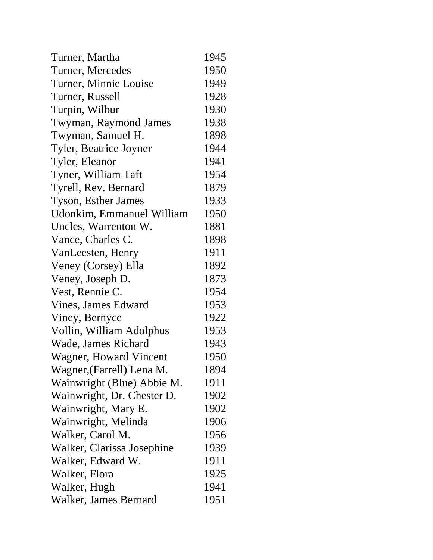| Turner, Martha             | 1945 |
|----------------------------|------|
| Turner, Mercedes           | 1950 |
| Turner, Minnie Louise      | 1949 |
| Turner, Russell            | 1928 |
| Turpin, Wilbur             | 1930 |
| Twyman, Raymond James      | 1938 |
| Twyman, Samuel H.          | 1898 |
| Tyler, Beatrice Joyner     | 1944 |
| Tyler, Eleanor             | 1941 |
| Tyner, William Taft        | 1954 |
| Tyrell, Rev. Bernard       | 1879 |
| <b>Tyson, Esther James</b> | 1933 |
| Udonkim, Emmanuel William  | 1950 |
| Uncles, Warrenton W.       | 1881 |
| Vance, Charles C.          | 1898 |
| VanLeesten, Henry          | 1911 |
| Veney (Corsey) Ella        | 1892 |
| Veney, Joseph D.           | 1873 |
| Vest, Rennie C.            | 1954 |
| Vines, James Edward        | 1953 |
| Viney, Bernyce             | 1922 |
| Vollin, William Adolphus   | 1953 |
| Wade, James Richard        | 1943 |
| Wagner, Howard Vincent     | 1950 |
| Wagner, (Farrell) Lena M.  | 1894 |
| Wainwright (Blue) Abbie M. | 1911 |
| Wainwright, Dr. Chester D. | 1902 |
| Wainwright, Mary E.        | 1902 |
| Wainwright, Melinda        | 1906 |
| Walker, Carol M.           | 1956 |
| Walker, Clarissa Josephine | 1939 |
| Walker, Edward W.          | 1911 |
| Walker, Flora              | 1925 |
| Walker, Hugh               | 1941 |
| Walker, James Bernard      | 1951 |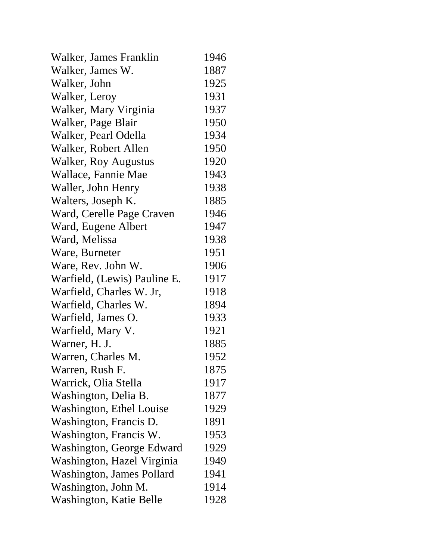| Walker, James Franklin       | 1946 |
|------------------------------|------|
| Walker, James W.             | 1887 |
| Walker, John                 | 1925 |
| Walker, Leroy                | 1931 |
| Walker, Mary Virginia        | 1937 |
| Walker, Page Blair           | 1950 |
| Walker, Pearl Odella         | 1934 |
| Walker, Robert Allen         | 1950 |
| <b>Walker, Roy Augustus</b>  | 1920 |
| Wallace, Fannie Mae          | 1943 |
| Waller, John Henry           | 1938 |
| Walters, Joseph K.           | 1885 |
| Ward, Cerelle Page Craven    | 1946 |
| Ward, Eugene Albert          | 1947 |
| Ward, Melissa                | 1938 |
| Ware, Burneter               | 1951 |
| Ware, Rev. John W.           | 1906 |
| Warfield, (Lewis) Pauline E. | 1917 |
| Warfield, Charles W. Jr,     | 1918 |
| Warfield, Charles W.         | 1894 |
| Warfield, James O.           | 1933 |
| Warfield, Mary V.            | 1921 |
| Warner, H. J.                | 1885 |
| Warren, Charles M.           | 1952 |
| Warren, Rush F.              | 1875 |
| Warrick, Olia Stella         | 1917 |
| Washington, Delia B.         | 1877 |
| Washington, Ethel Louise     | 1929 |
| Washington, Francis D.       | 1891 |
| Washington, Francis W.       | 1953 |
| Washington, George Edward    | 1929 |
| Washington, Hazel Virginia   | 1949 |
| Washington, James Pollard    | 1941 |
| Washington, John M.          | 1914 |
| Washington, Katie Belle      | 1928 |
|                              |      |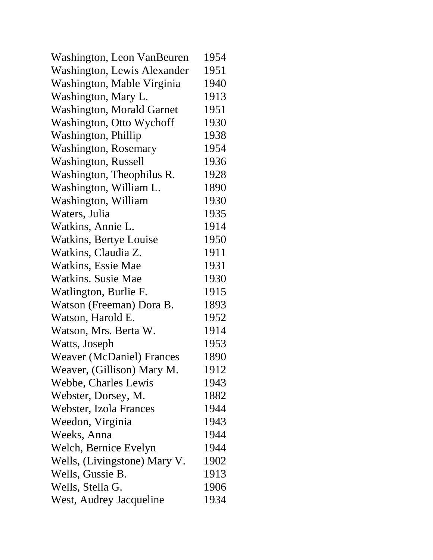| Washington, Leon VanBeuren       | 1954 |
|----------------------------------|------|
| Washington, Lewis Alexander      | 1951 |
| Washington, Mable Virginia       | 1940 |
| Washington, Mary L.              | 1913 |
| <b>Washington, Morald Garnet</b> | 1951 |
| Washington, Otto Wychoff         | 1930 |
| Washington, Phillip              | 1938 |
| <b>Washington, Rosemary</b>      | 1954 |
| <b>Washington, Russell</b>       | 1936 |
| Washington, Theophilus R.        | 1928 |
| Washington, William L.           | 1890 |
| Washington, William              | 1930 |
| Waters, Julia                    | 1935 |
| Watkins, Annie L.                | 1914 |
| Watkins, Bertye Louise           | 1950 |
| Watkins, Claudia Z.              | 1911 |
| Watkins, Essie Mae               | 1931 |
| <b>Watkins. Susie Mae</b>        | 1930 |
| Watlington, Burlie F.            | 1915 |
| Watson (Freeman) Dora B.         | 1893 |
| Watson, Harold E.                | 1952 |
| Watson, Mrs. Berta W.            | 1914 |
| Watts, Joseph                    | 1953 |
| <b>Weaver (McDaniel) Frances</b> | 1890 |
| Weaver, (Gillison) Mary M.       | 1912 |
| Webbe, Charles Lewis             | 1943 |
| Webster, Dorsey, M.              | 1882 |
| Webster, Izola Frances           | 1944 |
| Weedon, Virginia                 | 1943 |
| Weeks, Anna                      | 1944 |
| Welch, Bernice Evelyn            | 1944 |
| Wells, (Livingstone) Mary V.     | 1902 |
| Wells, Gussie B.                 | 1913 |
| Wells, Stella G.                 | 1906 |
| West, Audrey Jacqueline          | 1934 |
|                                  |      |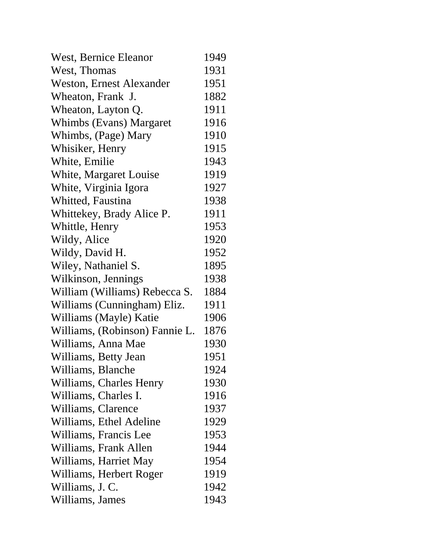| West, Bernice Eleanor           | 1949 |
|---------------------------------|------|
| West, Thomas                    | 1931 |
| <b>Weston, Ernest Alexander</b> | 1951 |
| Wheaton, Frank J.               | 1882 |
| Wheaton, Layton Q.              | 1911 |
| Whimbs (Evans) Margaret         | 1916 |
| Whimbs, (Page) Mary             | 1910 |
| Whisiker, Henry                 | 1915 |
| White, Emilie                   | 1943 |
| White, Margaret Louise          | 1919 |
| White, Virginia Igora           | 1927 |
| Whitted, Faustina               | 1938 |
| Whittekey, Brady Alice P.       | 1911 |
| Whittle, Henry                  | 1953 |
| Wildy, Alice                    | 1920 |
| Wildy, David H.                 | 1952 |
| Wiley, Nathaniel S.             | 1895 |
| Wilkinson, Jennings             | 1938 |
| William (Williams) Rebecca S.   | 1884 |
| Williams (Cunningham) Eliz.     | 1911 |
| Williams (Mayle) Katie          | 1906 |
| Williams, (Robinson) Fannie L.  | 1876 |
| Williams, Anna Mae              | 1930 |
| Williams, Betty Jean            | 1951 |
| Williams, Blanche               | 1924 |
| Williams, Charles Henry         | 1930 |
| Williams, Charles I.            | 1916 |
| Williams, Clarence              | 1937 |
| Williams, Ethel Adeline         | 1929 |
| Williams, Francis Lee           | 1953 |
| Williams, Frank Allen           | 1944 |
| Williams, Harriet May           | 1954 |
| Williams, Herbert Roger         | 1919 |
| Williams, J. C.                 | 1942 |
| Williams, James                 | 1943 |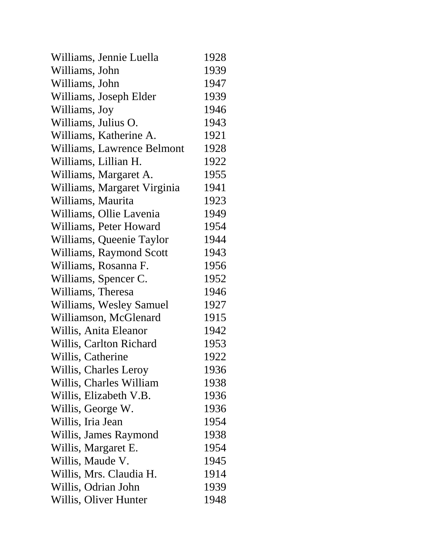| Williams, Jennie Luella     | 1928 |
|-----------------------------|------|
| Williams, John              | 1939 |
| Williams, John              | 1947 |
| Williams, Joseph Elder      | 1939 |
| Williams, Joy               | 1946 |
| Williams, Julius O.         | 1943 |
| Williams, Katherine A.      | 1921 |
| Williams, Lawrence Belmont  | 1928 |
| Williams, Lillian H.        | 1922 |
| Williams, Margaret A.       | 1955 |
| Williams, Margaret Virginia | 1941 |
| Williams, Maurita           | 1923 |
| Williams, Ollie Lavenia     | 1949 |
| Williams, Peter Howard      | 1954 |
| Williams, Queenie Taylor    | 1944 |
| Williams, Raymond Scott     | 1943 |
| Williams, Rosanna F.        | 1956 |
| Williams, Spencer C.        | 1952 |
| Williams, Theresa           | 1946 |
| Williams, Wesley Samuel     | 1927 |
| Williamson, McGlenard       | 1915 |
| Willis, Anita Eleanor       | 1942 |
| Willis, Carlton Richard     | 1953 |
| Willis, Catherine           | 1922 |
| Willis, Charles Leroy       | 1936 |
| Willis, Charles William     | 1938 |
| Willis, Elizabeth V.B.      | 1936 |
| Willis, George W.           | 1936 |
| Willis, Iria Jean           | 1954 |
| Willis, James Raymond       | 1938 |
| Willis, Margaret E.         | 1954 |
| Willis, Maude V.            | 1945 |
| Willis, Mrs. Claudia H.     | 1914 |
| Willis, Odrian John         | 1939 |
| Willis, Oliver Hunter       | 1948 |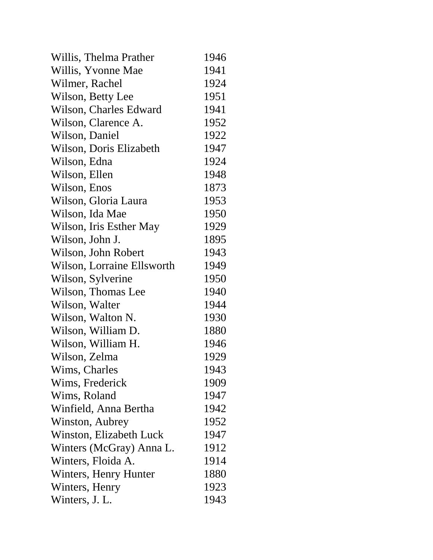| Willis, Thelma Prather     | 1946 |
|----------------------------|------|
| Willis, Yvonne Mae         | 1941 |
| Wilmer, Rachel             | 1924 |
| Wilson, Betty Lee          | 1951 |
| Wilson, Charles Edward     | 1941 |
| Wilson, Clarence A.        | 1952 |
| Wilson, Daniel             | 1922 |
| Wilson, Doris Elizabeth    | 1947 |
| Wilson, Edna               | 1924 |
| Wilson, Ellen              | 1948 |
| Wilson, Enos               | 1873 |
| Wilson, Gloria Laura       | 1953 |
| Wilson, Ida Mae            | 1950 |
| Wilson, Iris Esther May    | 1929 |
| Wilson, John J.            | 1895 |
| Wilson, John Robert        | 1943 |
| Wilson, Lorraine Ellsworth | 1949 |
| Wilson, Sylverine          | 1950 |
| Wilson, Thomas Lee         | 1940 |
| Wilson, Walter             | 1944 |
| Wilson, Walton N.          | 1930 |
| Wilson, William D.         | 1880 |
| Wilson, William H.         | 1946 |
| Wilson, Zelma              | 1929 |
| Wims, Charles              | 1943 |
| Wims, Frederick            | 1909 |
| Wims, Roland               | 1947 |
| Winfield, Anna Bertha      | 1942 |
| Winston, Aubrey            | 1952 |
| Winston, Elizabeth Luck    | 1947 |
| Winters (McGray) Anna L.   | 1912 |
| Winters, Floida A.         | 1914 |
| Winters, Henry Hunter      | 1880 |
| Winters, Henry             | 1923 |
| Winters, J. L.             | 1943 |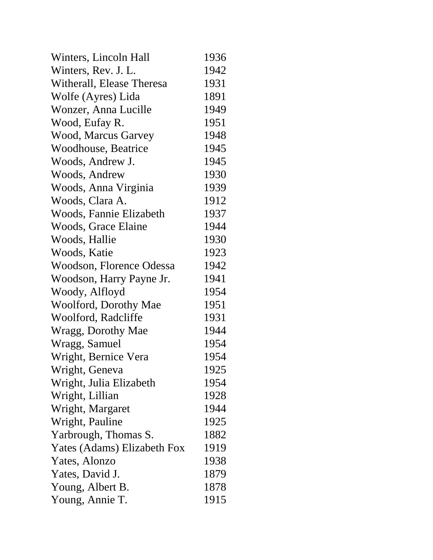| Winters, Lincoln Hall        | 1936 |
|------------------------------|------|
| Winters, Rev. J. L.          | 1942 |
| Witherall, Elease Theresa    | 1931 |
| Wolfe (Ayres) Lida           | 1891 |
| Wonzer, Anna Lucille         | 1949 |
| Wood, Eufay R.               | 1951 |
| Wood, Marcus Garvey          | 1948 |
| <b>Woodhouse</b> , Beatrice  | 1945 |
| Woods, Andrew J.             | 1945 |
| Woods, Andrew                | 1930 |
| Woods, Anna Virginia         | 1939 |
| Woods, Clara A.              | 1912 |
| Woods, Fannie Elizabeth      | 1937 |
| Woods, Grace Elaine          | 1944 |
| Woods, Hallie                | 1930 |
| Woods, Katie                 | 1923 |
| Woodson, Florence Odessa     | 1942 |
| Woodson, Harry Payne Jr.     | 1941 |
| Woody, Alfloyd               | 1954 |
| <b>Woolford, Dorothy Mae</b> | 1951 |
| Woolford, Radcliffe          | 1931 |
| Wragg, Dorothy Mae           | 1944 |
| Wragg, Samuel                | 1954 |
| Wright, Bernice Vera         | 1954 |
| Wright, Geneva               | 1925 |
| Wright, Julia Elizabeth      | 1954 |
| Wright, Lillian              | 1928 |
| Wright, Margaret             | 1944 |
| Wright, Pauline              | 1925 |
| Yarbrough, Thomas S.         | 1882 |
| Yates (Adams) Elizabeth Fox  | 1919 |
| Yates, Alonzo                | 1938 |
| Yates, David J.              | 1879 |
| Young, Albert B.             | 1878 |
| Young, Annie T.              | 1915 |
|                              |      |